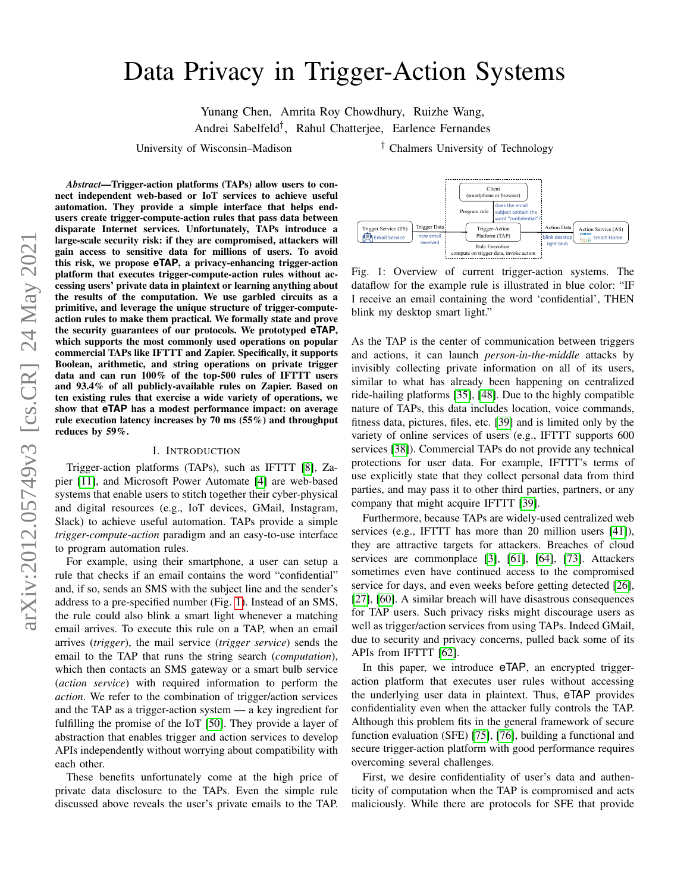# <span id="page-0-1"></span>Data Privacy in Trigger-Action Systems

Yunang Chen, Amrita Roy Chowdhury, Ruizhe Wang, Andrei Sabelfeld† , Rahul Chatterjee, Earlence Fernandes

University of Wisconsin–Madison <sup>†</sup> Chalmers University of Technology

*Abstract*—Trigger-action platforms (TAPs) allow users to connect independent web-based or IoT services to achieve useful automation. They provide a simple interface that helps endusers create trigger-compute-action rules that pass data between disparate Internet services. Unfortunately, TAPs introduce a large-scale security risk: if they are compromised, attackers will gain access to sensitive data for millions of users. To avoid this risk, we propose **eTAP**, a privacy-enhancing trigger-action platform that executes trigger-compute-action rules without accessing users' private data in plaintext or learning anything about the results of the computation. We use garbled circuits as a primitive, and leverage the unique structure of trigger-computeaction rules to make them practical. We formally state and prove the security guarantees of our protocols. We prototyped **eTAP**, which supports the most commonly used operations on popular commercial TAPs like IFTTT and Zapier. Specifically, it supports Boolean, arithmetic, and string operations on private trigger data and can run 100% of the top-500 rules of IFTTT users and 93.4% of all publicly-available rules on Zapier. Based on ten existing rules that exercise a wide variety of operations, we show that **eTAP** has a modest performance impact: on average rule execution latency increases by 70 ms (55%) and throughput reduces by 59%.

#### I. INTRODUCTION

Trigger-action platforms (TAPs), such as IFTTT [\[8\]](#page-13-0), Zapier [\[11\]](#page-13-1), and Microsoft Power Automate [\[4\]](#page-13-2) are web-based systems that enable users to stitch together their cyber-physical and digital resources (e.g., IoT devices, GMail, Instagram, Slack) to achieve useful automation. TAPs provide a simple *trigger-compute-action* paradigm and an easy-to-use interface to program automation rules.

For example, using their smartphone, a user can setup a rule that checks if an email contains the word "confidential" and, if so, sends an SMS with the subject line and the sender's address to a pre-specified number (Fig. [1\)](#page-0-0). Instead of an SMS, the rule could also blink a smart light whenever a matching email arrives. To execute this rule on a TAP, when an email arrives (*trigger*), the mail service (*trigger service*) sends the email to the TAP that runs the string search (*computation*), which then contacts an SMS gateway or a smart bulb service (*action service*) with required information to perform the *action*. We refer to the combination of trigger/action services and the TAP as a trigger-action system — a key ingredient for fulfilling the promise of the IoT [\[50\]](#page-14-0). They provide a layer of abstraction that enables trigger and action services to develop APIs independently without worrying about compatibility with each other.

These benefits unfortunately come at the high price of private data disclosure to the TAPs. Even the simple rule discussed above reveals the user's private emails to the TAP.

<span id="page-0-0"></span>

Fig. 1: Overview of current trigger-action systems. The dataflow for the example rule is illustrated in blue color: "IF I receive an email containing the word 'confidential', THEN blink my desktop smart light."

As the TAP is the center of communication between triggers and actions, it can launch *person-in-the-middle* attacks by invisibly collecting private information on all of its users, similar to what has already been happening on centralized ride-hailing platforms [\[35\]](#page-13-3), [\[48\]](#page-14-1). Due to the highly compatible nature of TAPs, this data includes location, voice commands, fitness data, pictures, files, etc. [\[39\]](#page-13-4) and is limited only by the variety of online services of users (e.g., IFTTT supports 600 services [\[38\]](#page-13-5)). Commercial TAPs do not provide any technical protections for user data. For example, IFTTT's terms of use explicitly state that they collect personal data from third parties, and may pass it to other third parties, partners, or any company that might acquire IFTTT [\[39\]](#page-13-4).

Furthermore, because TAPs are widely-used centralized web services (e.g., IFTTT has more than 20 million users [\[41\]](#page-13-6)), they are attractive targets for attackers. Breaches of cloud services are commonplace [\[3\]](#page-13-7), [\[61\]](#page-14-2), [\[64\]](#page-14-3), [\[73\]](#page-14-4). Attackers sometimes even have continued access to the compromised service for days, and even weeks before getting detected [\[26\]](#page-13-8), [\[27\]](#page-13-9), [\[60\]](#page-14-5). A similar breach will have disastrous consequences for TAP users. Such privacy risks might discourage users as well as trigger/action services from using TAPs. Indeed GMail, due to security and privacy concerns, pulled back some of its APIs from IFTTT [\[62\]](#page-14-6).

In this paper, we introduce  $e<sup>TAP</sup>$ , an encrypted triggeraction platform that executes user rules without accessing the underlying user data in plaintext. Thus, eTAP provides confidentiality even when the attacker fully controls the TAP. Although this problem fits in the general framework of secure function evaluation (SFE) [\[75\]](#page-14-7), [\[76\]](#page-14-8), building a functional and secure trigger-action platform with good performance requires overcoming several challenges.

First, we desire confidentiality of user's data and authenticity of computation when the TAP is compromised and acts maliciously. While there are protocols for SFE that provide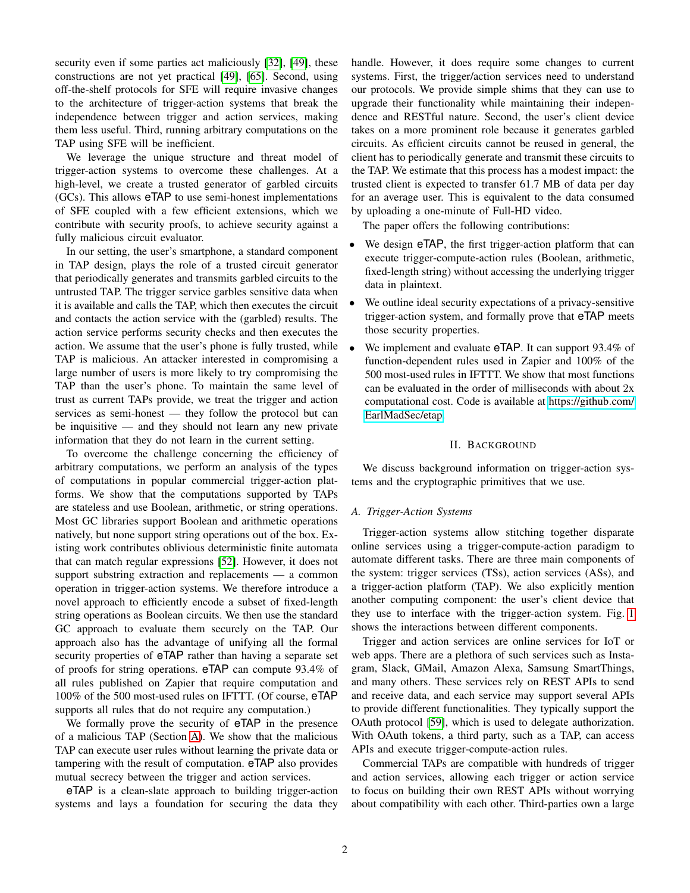security even if some parties act maliciously [\[32\]](#page-13-10), [\[49\]](#page-14-9), these constructions are not yet practical [\[49\]](#page-14-9), [\[65\]](#page-14-10). Second, using off-the-shelf protocols for SFE will require invasive changes to the architecture of trigger-action systems that break the independence between trigger and action services, making them less useful. Third, running arbitrary computations on the TAP using SFE will be inefficient.

We leverage the unique structure and threat model of trigger-action systems to overcome these challenges. At a high-level, we create a trusted generator of garbled circuits (GCs). This allows eTAP to use semi-honest implementations of SFE coupled with a few efficient extensions, which we contribute with security proofs, to achieve security against a fully malicious circuit evaluator.

In our setting, the user's smartphone, a standard component in TAP design, plays the role of a trusted circuit generator that periodically generates and transmits garbled circuits to the untrusted TAP. The trigger service garbles sensitive data when it is available and calls the TAP, which then executes the circuit and contacts the action service with the (garbled) results. The action service performs security checks and then executes the action. We assume that the user's phone is fully trusted, while TAP is malicious. An attacker interested in compromising a large number of users is more likely to try compromising the TAP than the user's phone. To maintain the same level of trust as current TAPs provide, we treat the trigger and action services as semi-honest — they follow the protocol but can be inquisitive — and they should not learn any new private information that they do not learn in the current setting.

To overcome the challenge concerning the efficiency of arbitrary computations, we perform an analysis of the types of computations in popular commercial trigger-action platforms. We show that the computations supported by TAPs are stateless and use Boolean, arithmetic, or string operations. Most GC libraries support Boolean and arithmetic operations natively, but none support string operations out of the box. Existing work contributes oblivious deterministic finite automata that can match regular expressions [\[52\]](#page-14-11). However, it does not support substring extraction and replacements — a common operation in trigger-action systems. We therefore introduce a novel approach to efficiently encode a subset of fixed-length string operations as Boolean circuits. We then use the standard GC approach to evaluate them securely on the TAP. Our approach also has the advantage of unifying all the formal security properties of eTAP rather than having a separate set of proofs for string operations. eTAP can compute 93.4% of all rules published on Zapier that require computation and 100% of the 500 most-used rules on IFTTT. (Of course, eTAP supports all rules that do not require any computation.)

We formally prove the security of eTAP in the presence of a malicious TAP (Section [A\)](#page-14-12). We show that the malicious TAP can execute user rules without learning the private data or tampering with the result of computation. eTAP also provides mutual secrecy between the trigger and action services.

eTAP is a clean-slate approach to building trigger-action systems and lays a foundation for securing the data they handle. However, it does require some changes to current systems. First, the trigger/action services need to understand our protocols. We provide simple shims that they can use to upgrade their functionality while maintaining their independence and RESTful nature. Second, the user's client device takes on a more prominent role because it generates garbled circuits. As efficient circuits cannot be reused in general, the client has to periodically generate and transmit these circuits to the TAP. We estimate that this process has a modest impact: the trusted client is expected to transfer 61.7 MB of data per day for an average user. This is equivalent to the data consumed by uploading a one-minute of Full-HD video.

The paper offers the following contributions:

- We design eTAP, the first trigger-action platform that can execute trigger-compute-action rules (Boolean, arithmetic, fixed-length string) without accessing the underlying trigger data in plaintext.
- We outline ideal security expectations of a privacy-sensitive trigger-action system, and formally prove that eTAP meets those security properties.
- We implement and evaluate eTAP. It can support 93.4% of function-dependent rules used in Zapier and 100% of the 500 most-used rules in IFTTT. We show that most functions can be evaluated in the order of milliseconds with about 2x computational cost. Code is available at [https://github](https://github.com/EarlMadSec/etap).com/ [EarlMadSec/etap.](https://github.com/EarlMadSec/etap)

#### II. BACKGROUND

<span id="page-1-0"></span>We discuss background information on trigger-action systems and the cryptographic primitives that we use.

#### *A. Trigger-Action Systems*

Trigger-action systems allow stitching together disparate online services using a trigger-compute-action paradigm to automate different tasks. There are three main components of the system: trigger services (TSs), action services (ASs), and a trigger-action platform (TAP). We also explicitly mention another computing component: the user's client device that they use to interface with the trigger-action system. Fig. [1](#page-0-0) shows the interactions between different components.

Trigger and action services are online services for IoT or web apps. There are a plethora of such services such as Instagram, Slack, GMail, Amazon Alexa, Samsung SmartThings, and many others. These services rely on REST APIs to send and receive data, and each service may support several APIs to provide different functionalities. They typically support the OAuth protocol [\[59\]](#page-14-13), which is used to delegate authorization. With OAuth tokens, a third party, such as a TAP, can access APIs and execute trigger-compute-action rules.

Commercial TAPs are compatible with hundreds of trigger and action services, allowing each trigger or action service to focus on building their own REST APIs without worrying about compatibility with each other. Third-parties own a large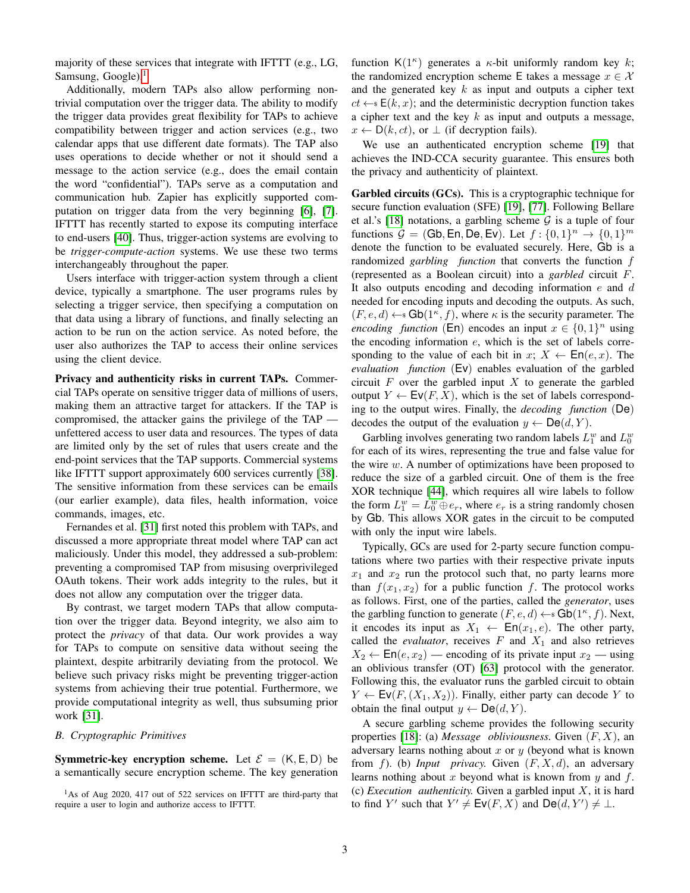majority of these services that integrate with IFTTT (e.g., LG, Samsung, Google). $<sup>1</sup>$  $<sup>1</sup>$  $<sup>1</sup>$ </sup>

Additionally, modern TAPs also allow performing nontrivial computation over the trigger data. The ability to modify the trigger data provides great flexibility for TAPs to achieve compatibility between trigger and action services (e.g., two calendar apps that use different date formats). The TAP also uses operations to decide whether or not it should send a message to the action service (e.g., does the email contain the word "confidential"). TAPs serve as a computation and communication hub. Zapier has explicitly supported computation on trigger data from the very beginning [\[6\]](#page-13-11), [\[7\]](#page-13-12). IFTTT has recently started to expose its computing interface to end-users [\[40\]](#page-13-13). Thus, trigger-action systems are evolving to be *trigger-compute-action* systems. We use these two terms interchangeably throughout the paper.

Users interface with trigger-action system through a client device, typically a smartphone. The user programs rules by selecting a trigger service, then specifying a computation on that data using a library of functions, and finally selecting an action to be run on the action service. As noted before, the user also authorizes the TAP to access their online services using the client device.

Privacy and authenticity risks in current TAPs. Commercial TAPs operate on sensitive trigger data of millions of users, making them an attractive target for attackers. If the TAP is compromised, the attacker gains the privilege of the TAP unfettered access to user data and resources. The types of data are limited only by the set of rules that users create and the end-point services that the TAP supports. Commercial systems like IFTTT support approximately 600 services currently [\[38\]](#page-13-5). The sensitive information from these services can be emails (our earlier example), data files, health information, voice commands, images, etc.

Fernandes et al. [\[31\]](#page-13-14) first noted this problem with TAPs, and discussed a more appropriate threat model where TAP can act maliciously. Under this model, they addressed a sub-problem: preventing a compromised TAP from misusing overprivileged OAuth tokens. Their work adds integrity to the rules, but it does not allow any computation over the trigger data.

By contrast, we target modern TAPs that allow computation over the trigger data. Beyond integrity, we also aim to protect the *privacy* of that data. Our work provides a way for TAPs to compute on sensitive data without seeing the plaintext, despite arbitrarily deviating from the protocol. We believe such privacy risks might be preventing trigger-action systems from achieving their true potential. Furthermore, we provide computational integrity as well, thus subsuming prior work [\[31\]](#page-13-14).

#### *B. Cryptographic Primitives*

**Symmetric-key encryption scheme.** Let  $\mathcal{E} = (K, E, D)$  be a semantically secure encryption scheme. The key generation

<sup>1</sup>As of Aug 2020, 417 out of 522 services on IFTTT are third-party that require a user to login and authorize access to IFTTT.

function  $K(1^{\kappa})$  generates a  $\kappa$ -bit uniformly random key  $k$ ; the randomized encryption scheme E takes a message  $x \in \mathcal{X}$ and the generated key  $k$  as input and outputs a cipher text  $ct \leftarrow s E(k, x)$ ; and the deterministic decryption function takes a cipher text and the key  $k$  as input and outputs a message,  $x \leftarrow D(k, ct)$ , or  $\perp$  (if decryption fails).

We use an authenticated encryption scheme [\[19\]](#page-13-15) that achieves the IND-CCA security guarantee. This ensures both the privacy and authenticity of plaintext.

Garbled circuits (GCs). This is a cryptographic technique for secure function evaluation (SFE) [\[19\]](#page-13-15), [\[77\]](#page-14-14). Following Bellare et al.'s [\[18\]](#page-13-16) notations, a garbling scheme  $G$  is a tuple of four functions  $\mathcal{G} = (\mathsf{Gb}, \mathsf{En}, \mathsf{De}, \mathsf{Ev})$ . Let  $f : \{0, 1\}^n \to \{0, 1\}^m$ denote the function to be evaluated securely. Here, Gb is a randomized *garbling function* that converts the function f (represented as a Boolean circuit) into a *garbled* circuit F. It also outputs encoding and decoding information  $e$  and  $d$ needed for encoding inputs and decoding the outputs. As such,  $(F, e, d) \leftarrow$  Gb(1<sup> $\kappa$ </sup>, f), where  $\kappa$  is the security parameter. The *encoding function* (En) encodes an input  $x \in \{0, 1\}^n$  using the encoding information  $e$ , which is the set of labels corresponding to the value of each bit in  $x: X \leftarrow \textsf{En}(e, x)$ . The *evaluation function* (Ev) enables evaluation of the garbled circuit  $F$  over the garbled input  $X$  to generate the garbled output  $Y \leftarrow \mathsf{Ev}(F, X)$ , which is the set of labels corresponding to the output wires. Finally, the *decoding function* (De) decodes the output of the evaluation  $y \leftarrow \mathsf{De}(d, Y)$ .

Garbling involves generating two random labels  $L_1^w$  and  $L_0^w$ for each of its wires, representing the true and false value for the wire  $w$ . A number of optimizations have been proposed to reduce the size of a garbled circuit. One of them is the free XOR technique [\[44\]](#page-13-17), which requires all wire labels to follow the form  $L_1^w = L_0^w \oplus e_r$ , where  $e_r$  is a string randomly chosen by Gb. This allows XOR gates in the circuit to be computed with only the input wire labels.

Typically, GCs are used for 2-party secure function computations where two parties with their respective private inputs  $x_1$  and  $x_2$  run the protocol such that, no party learns more than  $f(x_1, x_2)$  for a public function f. The protocol works as follows. First, one of the parties, called the *generator*, uses the garbling function to generate  $(F, e, d) \leftarrow s \text{Gb}(1\kappa, f)$ . Next, it encodes its input as  $X_1 \leftarrow \text{En}(x_1, e)$ . The other party, called the *evaluator*, receives  $F$  and  $X_1$  and also retrieves  $X_2 \leftarrow \text{En}(e, x_2)$  — encoding of its private input  $x_2$  — using an oblivious transfer (OT) [\[63\]](#page-14-15) protocol with the generator. Following this, the evaluator runs the garbled circuit to obtain  $Y \leftarrow \textsf{Ev}(F, (X_1, X_2))$ . Finally, either party can decode Y to obtain the final output  $y \leftarrow \mathsf{De}(d, Y)$ .

A secure garbling scheme provides the following security properties [\[18\]](#page-13-16): (a) *Message obliviousness.* Given (F, X), an adversary learns nothing about  $x$  or  $y$  (beyond what is known from f). (b) *Input privacy*. Given  $(F, X, d)$ , an adversary learns nothing about x beyond what is known from  $y$  and  $f$ . (c) *Execution authenticity.* Given a garbled input X, it is hard to find Y' such that  $Y' \neq \text{Ev}(F, X)$  and  $\text{De}(d, Y') \neq \bot$ .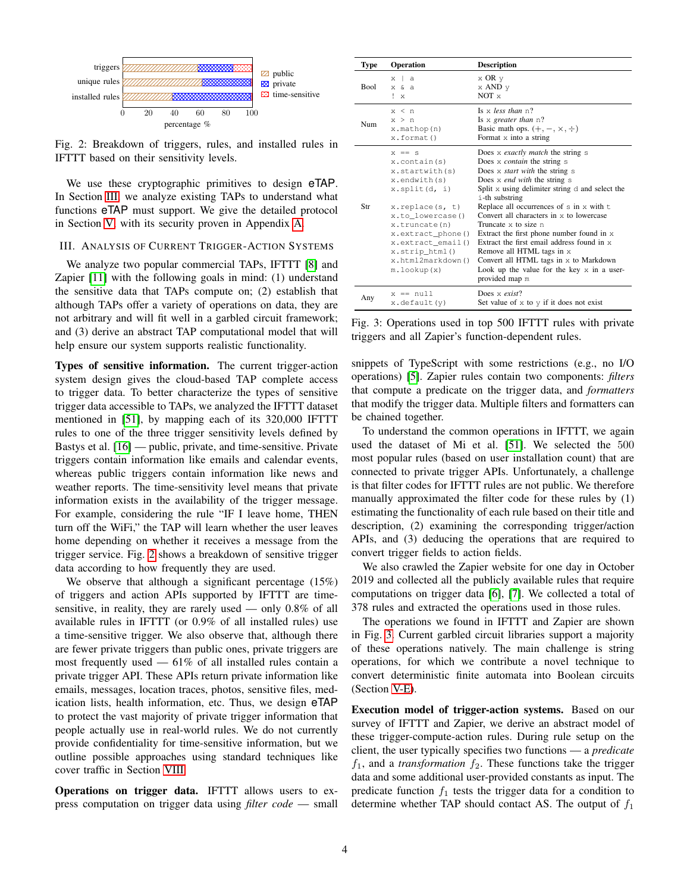<span id="page-3-1"></span>

Fig. 2: Breakdown of triggers, rules, and installed rules in IFTTT based on their sensitivity levels.

We use these cryptographic primitives to design eTAP. In Section [III,](#page-3-0) we analyze existing TAPs to understand what functions eTAP must support. We give the detailed protocol in Section [V,](#page-5-0) with its security proven in Appendix [A.](#page-14-12)

## <span id="page-3-0"></span>III. ANALYSIS OF CURRENT TRIGGER-ACTION SYSTEMS

We analyze two popular commercial TAPs, IFTTT [\[8\]](#page-13-0) and Zapier [\[11\]](#page-13-1) with the following goals in mind: (1) understand the sensitive data that TAPs compute on; (2) establish that although TAPs offer a variety of operations on data, they are not arbitrary and will fit well in a garbled circuit framework; and (3) derive an abstract TAP computational model that will help ensure our system supports realistic functionality.

Types of sensitive information. The current trigger-action system design gives the cloud-based TAP complete access to trigger data. To better characterize the types of sensitive trigger data accessible to TAPs, we analyzed the IFTTT dataset mentioned in [\[51\]](#page-14-16), by mapping each of its 320,000 IFTTT rules to one of the three trigger sensitivity levels defined by Bastys et al. [\[16\]](#page-13-18) — public, private, and time-sensitive. Private triggers contain information like emails and calendar events, whereas public triggers contain information like news and weather reports. The time-sensitivity level means that private information exists in the availability of the trigger message. For example, considering the rule "IF I leave home, THEN turn off the WiFi," the TAP will learn whether the user leaves home depending on whether it receives a message from the trigger service. Fig. [2](#page-3-1) shows a breakdown of sensitive trigger data according to how frequently they are used.

We observe that although a significant percentage (15%) of triggers and action APIs supported by IFTTT are timesensitive, in reality, they are rarely used — only 0.8% of all available rules in IFTTT (or 0.9% of all installed rules) use a time-sensitive trigger. We also observe that, although there are fewer private triggers than public ones, private triggers are most frequently used  $-61\%$  of all installed rules contain a private trigger API. These APIs return private information like emails, messages, location traces, photos, sensitive files, medication lists, health information, etc. Thus, we design eTAP to protect the vast majority of private trigger information that people actually use in real-world rules. We do not currently provide confidentiality for time-sensitive information, but we outline possible approaches using standard techniques like cover traffic in Section [VIII.](#page-12-0)

Operations on trigger data. IFTTT allows users to express computation on trigger data using *filter code* — small

<span id="page-3-2"></span>

| Type        | <b>Operation</b>                                                                                                                                                                                                                    | <b>Description</b>                                                                                                                                                                                                                                                                                                                                                                                                                                                                                                                                                                                              |
|-------------|-------------------------------------------------------------------------------------------------------------------------------------------------------------------------------------------------------------------------------------|-----------------------------------------------------------------------------------------------------------------------------------------------------------------------------------------------------------------------------------------------------------------------------------------------------------------------------------------------------------------------------------------------------------------------------------------------------------------------------------------------------------------------------------------------------------------------------------------------------------------|
| <b>Bool</b> | x <sub>1</sub><br>$\mathbf{a}$<br>$x \delta a$<br>$! \times$                                                                                                                                                                        | $\times$ OR $\vee$<br>x AND y<br>$NOT \times$                                                                                                                                                                                                                                                                                                                                                                                                                                                                                                                                                                   |
| Num         | x < n<br>x > n<br>x.mathop(n)<br>x.format()                                                                                                                                                                                         | Is $\times$ less than n?<br>Is $x$ greater than $n$ ?<br>Basic math ops. $(+, -, \times, \div)$<br>Format $x$ into a string                                                                                                                                                                                                                                                                                                                                                                                                                                                                                     |
| Str         | $x == s$<br>x.contain(s)<br>x.startwith(s)<br>x.endwith(s)<br>x.split(d, i)<br>x.replace(s, t)<br>x.to lowercase()<br>x.truncate(n)<br>x.extract_phone()<br>x.extract email()<br>x.strip html()<br>x.html2markdown()<br>m.lookup(x) | Does x exactly match the string s<br>Does x <i>contain</i> the string s<br>Does x <i>start with</i> the string s<br>Does $x$ <i>end with</i> the string $s$<br>Split x using delimiter string d and select the<br>i-th substring<br>Replace all occurrences of $s$ in $x$ with $t$<br>Convert all characters in $\times$ to lowercase<br>Truncate $\times$ to size n<br>Extract the first phone number found in x<br>Extract the first email address found in $\times$<br>Remove all HTML tags in x<br>Convert all HTML tags in x to Markdown<br>Look up the value for the key $x$ in a user-<br>provided map m |
| Any         | $x == null$<br>x.default(y)                                                                                                                                                                                                         | Does $\times$ exist?<br>Set value of $x$ to $y$ if it does not exist                                                                                                                                                                                                                                                                                                                                                                                                                                                                                                                                            |

Fig. 3: Operations used in top 500 IFTTT rules with private triggers and all Zapier's function-dependent rules.

snippets of TypeScript with some restrictions (e.g., no I/O operations) [\[5\]](#page-13-19). Zapier rules contain two components: *filters* that compute a predicate on the trigger data, and *formatters* that modify the trigger data. Multiple filters and formatters can be chained together.

To understand the common operations in IFTTT, we again used the dataset of Mi et al. [\[51\]](#page-14-16). We selected the 500 most popular rules (based on user installation count) that are connected to private trigger APIs. Unfortunately, a challenge is that filter codes for IFTTT rules are not public. We therefore manually approximated the filter code for these rules by (1) estimating the functionality of each rule based on their title and description, (2) examining the corresponding trigger/action APIs, and (3) deducing the operations that are required to convert trigger fields to action fields.

We also crawled the Zapier website for one day in October 2019 and collected all the publicly available rules that require computations on trigger data [\[6\]](#page-13-11), [\[7\]](#page-13-12). We collected a total of 378 rules and extracted the operations used in those rules.

The operations we found in IFTTT and Zapier are shown in Fig. [3.](#page-3-2) Current garbled circuit libraries support a majority of these operations natively. The main challenge is string operations, for which we contribute a novel technique to convert deterministic finite automata into Boolean circuits (Section [V-E\)](#page-8-0).

Execution model of trigger-action systems. Based on our survey of IFTTT and Zapier, we derive an abstract model of these trigger-compute-action rules. During rule setup on the client, the user typically specifies two functions — a *predicate*  $f_1$ , and a *transformation*  $f_2$ . These functions take the trigger data and some additional user-provided constants as input. The predicate function  $f_1$  tests the trigger data for a condition to determine whether TAP should contact AS. The output of  $f_1$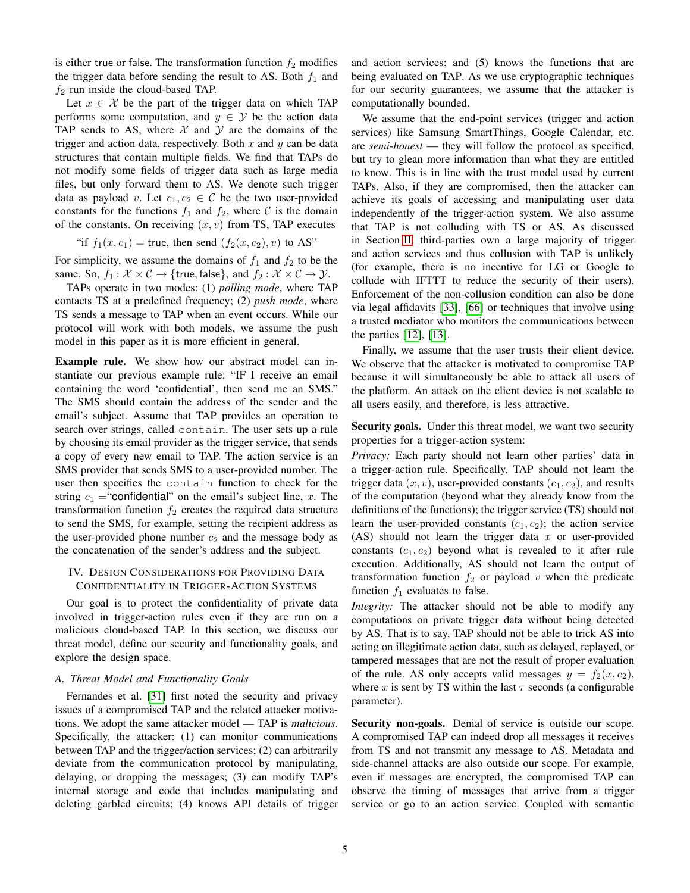is either true or false. The transformation function  $f_2$  modifies the trigger data before sending the result to AS. Both  $f_1$  and  $f_2$  run inside the cloud-based TAP.

Let  $x \in \mathcal{X}$  be the part of the trigger data on which TAP performs some computation, and  $y \in \mathcal{Y}$  be the action data TAP sends to AS, where  $X$  and  $Y$  are the domains of the trigger and action data, respectively. Both  $x$  and  $y$  can be data structures that contain multiple fields. We find that TAPs do not modify some fields of trigger data such as large media files, but only forward them to AS. We denote such trigger data as payload v. Let  $c_1, c_2 \in \mathcal{C}$  be the two user-provided constants for the functions  $f_1$  and  $f_2$ , where C is the domain of the constants. On receiving  $(x, v)$  from TS, TAP executes

"if 
$$
f_1(x, c_1)
$$
 = true, then send  $(f_2(x, c_2), v)$  to AS"

For simplicity, we assume the domains of  $f_1$  and  $f_2$  to be the same. So,  $f_1 : \mathcal{X} \times \mathcal{C} \rightarrow \{\text{true}, \text{false}\}\$ , and  $f_2 : \mathcal{X} \times \mathcal{C} \rightarrow \mathcal{Y}$ .

TAPs operate in two modes: (1) *polling mode*, where TAP contacts TS at a predefined frequency; (2) *push mode*, where TS sends a message to TAP when an event occurs. While our protocol will work with both models, we assume the push model in this paper as it is more efficient in general.

Example rule. We show how our abstract model can instantiate our previous example rule: "IF I receive an email containing the word 'confidential', then send me an SMS." The SMS should contain the address of the sender and the email's subject. Assume that TAP provides an operation to search over strings, called contain. The user sets up a rule by choosing its email provider as the trigger service, that sends a copy of every new email to TAP. The action service is an SMS provider that sends SMS to a user-provided number. The user then specifies the contain function to check for the string  $c_1$  = "confidential" on the email's subject line, x. The transformation function  $f_2$  creates the required data structure to send the SMS, for example, setting the recipient address as the user-provided phone number  $c_2$  and the message body as the concatenation of the sender's address and the subject.

# IV. DESIGN CONSIDERATIONS FOR PROVIDING DATA CONFIDENTIALITY IN TRIGGER-ACTION SYSTEMS

Our goal is to protect the confidentiality of private data involved in trigger-action rules even if they are run on a malicious cloud-based TAP. In this section, we discuss our threat model, define our security and functionality goals, and explore the design space.

#### <span id="page-4-0"></span>*A. Threat Model and Functionality Goals*

Fernandes et al. [\[31\]](#page-13-14) first noted the security and privacy issues of a compromised TAP and the related attacker motivations. We adopt the same attacker model — TAP is *malicious*. Specifically, the attacker: (1) can monitor communications between TAP and the trigger/action services; (2) can arbitrarily deviate from the communication protocol by manipulating, delaying, or dropping the messages; (3) can modify TAP's internal storage and code that includes manipulating and deleting garbled circuits; (4) knows API details of trigger and action services; and (5) knows the functions that are being evaluated on TAP. As we use cryptographic techniques for our security guarantees, we assume that the attacker is computationally bounded.

We assume that the end-point services (trigger and action services) like Samsung SmartThings, Google Calendar, etc. are *semi-honest* — they will follow the protocol as specified, but try to glean more information than what they are entitled to know. This is in line with the trust model used by current TAPs. Also, if they are compromised, then the attacker can achieve its goals of accessing and manipulating user data independently of the trigger-action system. We also assume that TAP is not colluding with TS or AS. As discussed in Section [II,](#page-1-0) third-parties own a large majority of trigger and action services and thus collusion with TAP is unlikely (for example, there is no incentive for LG or Google to collude with IFTTT to reduce the security of their users). Enforcement of the non-collusion condition can also be done via legal affidavits [\[33\]](#page-13-20), [\[66\]](#page-14-17) or techniques that involve using a trusted mediator who monitors the communications between the parties [\[12\]](#page-13-21), [\[13\]](#page-13-22).

Finally, we assume that the user trusts their client device. We observe that the attacker is motivated to compromise TAP because it will simultaneously be able to attack all users of the platform. An attack on the client device is not scalable to all users easily, and therefore, is less attractive.

Security goals. Under this threat model, we want two security properties for a trigger-action system:

*Privacy:* Each party should not learn other parties' data in a trigger-action rule. Specifically, TAP should not learn the trigger data  $(x, v)$ , user-provided constants  $(c_1, c_2)$ , and results of the computation (beyond what they already know from the definitions of the functions); the trigger service (TS) should not learn the user-provided constants  $(c_1, c_2)$ ; the action service (AS) should not learn the trigger data  $x$  or user-provided constants  $(c_1, c_2)$  beyond what is revealed to it after rule execution. Additionally, AS should not learn the output of transformation function  $f_2$  or payload v when the predicate function  $f_1$  evaluates to false.

*Integrity:* The attacker should not be able to modify any computations on private trigger data without being detected by AS. That is to say, TAP should not be able to trick AS into acting on illegitimate action data, such as delayed, replayed, or tampered messages that are not the result of proper evaluation of the rule. AS only accepts valid messages  $y = f_2(x, c_2)$ , where x is sent by TS within the last  $\tau$  seconds (a configurable parameter).

Security non-goals. Denial of service is outside our scope. A compromised TAP can indeed drop all messages it receives from TS and not transmit any message to AS. Metadata and side-channel attacks are also outside our scope. For example, even if messages are encrypted, the compromised TAP can observe the timing of messages that arrive from a trigger service or go to an action service. Coupled with semantic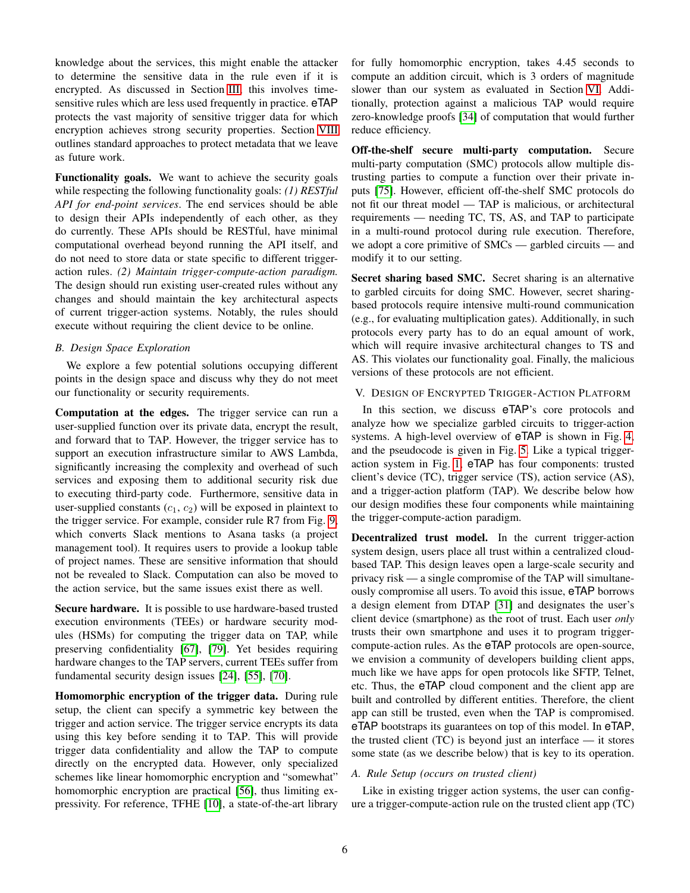knowledge about the services, this might enable the attacker to determine the sensitive data in the rule even if it is encrypted. As discussed in Section [III,](#page-3-0) this involves timesensitive rules which are less used frequently in practice. eTAP protects the vast majority of sensitive trigger data for which encryption achieves strong security properties. Section [VIII](#page-12-0) outlines standard approaches to protect metadata that we leave as future work.

Functionality goals. We want to achieve the security goals while respecting the following functionality goals: *(1) RESTful API for end-point services*. The end services should be able to design their APIs independently of each other, as they do currently. These APIs should be RESTful, have minimal computational overhead beyond running the API itself, and do not need to store data or state specific to different triggeraction rules. *(2) Maintain trigger-compute-action paradigm.* The design should run existing user-created rules without any changes and should maintain the key architectural aspects of current trigger-action systems. Notably, the rules should execute without requiring the client device to be online.

## *B. Design Space Exploration*

We explore a few potential solutions occupying different points in the design space and discuss why they do not meet our functionality or security requirements.

Computation at the edges. The trigger service can run a user-supplied function over its private data, encrypt the result, and forward that to TAP. However, the trigger service has to support an execution infrastructure similar to AWS Lambda, significantly increasing the complexity and overhead of such services and exposing them to additional security risk due to executing third-party code. Furthermore, sensitive data in user-supplied constants  $(c_1, c_2)$  will be exposed in plaintext to the trigger service. For example, consider rule R7 from Fig. [9,](#page-17-0) which converts Slack mentions to Asana tasks (a project management tool). It requires users to provide a lookup table of project names. These are sensitive information that should not be revealed to Slack. Computation can also be moved to the action service, but the same issues exist there as well.

Secure hardware. It is possible to use hardware-based trusted execution environments (TEEs) or hardware security modules (HSMs) for computing the trigger data on TAP, while preserving confidentiality [\[67\]](#page-14-18), [\[79\]](#page-14-19). Yet besides requiring hardware changes to the TAP servers, current TEEs suffer from fundamental security design issues [\[24\]](#page-13-23), [\[55\]](#page-14-20), [\[70\]](#page-14-21).

Homomorphic encryption of the trigger data. During rule setup, the client can specify a symmetric key between the trigger and action service. The trigger service encrypts its data using this key before sending it to TAP. This will provide trigger data confidentiality and allow the TAP to compute directly on the encrypted data. However, only specialized schemes like linear homomorphic encryption and "somewhat" homomorphic encryption are practical [\[56\]](#page-14-22), thus limiting expressivity. For reference, TFHE [\[10\]](#page-13-24), a state-of-the-art library for fully homomorphic encryption, takes 4.45 seconds to compute an addition circuit, which is 3 orders of magnitude slower than our system as evaluated in Section [VI.](#page-9-0) Additionally, protection against a malicious TAP would require zero-knowledge proofs [\[34\]](#page-13-25) of computation that would further reduce efficiency.

Off-the-shelf secure multi-party computation. Secure multi-party computation (SMC) protocols allow multiple distrusting parties to compute a function over their private inputs [\[75\]](#page-14-7). However, efficient off-the-shelf SMC protocols do not fit our threat model — TAP is malicious, or architectural requirements — needing TC, TS, AS, and TAP to participate in a multi-round protocol during rule execution. Therefore, we adopt a core primitive of SMCs — garbled circuits — and modify it to our setting.

Secret sharing based SMC. Secret sharing is an alternative to garbled circuits for doing SMC. However, secret sharingbased protocols require intensive multi-round communication (e.g., for evaluating multiplication gates). Additionally, in such protocols every party has to do an equal amount of work, which will require invasive architectural changes to TS and AS. This violates our functionality goal. Finally, the malicious versions of these protocols are not efficient.

## <span id="page-5-0"></span>V. DESIGN OF ENCRYPTED TRIGGER-ACTION PLATFORM

In this section, we discuss eTAP's core protocols and analyze how we specialize garbled circuits to trigger-action systems. A high-level overview of eTAP is shown in Fig. [4,](#page-6-0) and the pseudocode is given in Fig. [5.](#page-6-1) Like a typical triggeraction system in Fig. [1,](#page-0-0) eTAP has four components: trusted client's device (TC), trigger service (TS), action service (AS), and a trigger-action platform (TAP). We describe below how our design modifies these four components while maintaining the trigger-compute-action paradigm.

Decentralized trust model. In the current trigger-action system design, users place all trust within a centralized cloudbased TAP. This design leaves open a large-scale security and privacy risk — a single compromise of the TAP will simultaneously compromise all users. To avoid this issue, eTAP borrows a design element from DTAP [\[31\]](#page-13-14) and designates the user's client device (smartphone) as the root of trust. Each user *only* trusts their own smartphone and uses it to program triggercompute-action rules. As the eTAP protocols are open-source, we envision a community of developers building client apps, much like we have apps for open protocols like SFTP, Telnet, etc. Thus, the eTAP cloud component and the client app are built and controlled by different entities. Therefore, the client app can still be trusted, even when the TAP is compromised. eTAP bootstraps its guarantees on top of this model. In eTAP, the trusted client  $(TC)$  is beyond just an interface — it stores some state (as we describe below) that is key to its operation.

# *A. Rule Setup (occurs on trusted client)*

Like in existing trigger action systems, the user can configure a trigger-compute-action rule on the trusted client app (TC)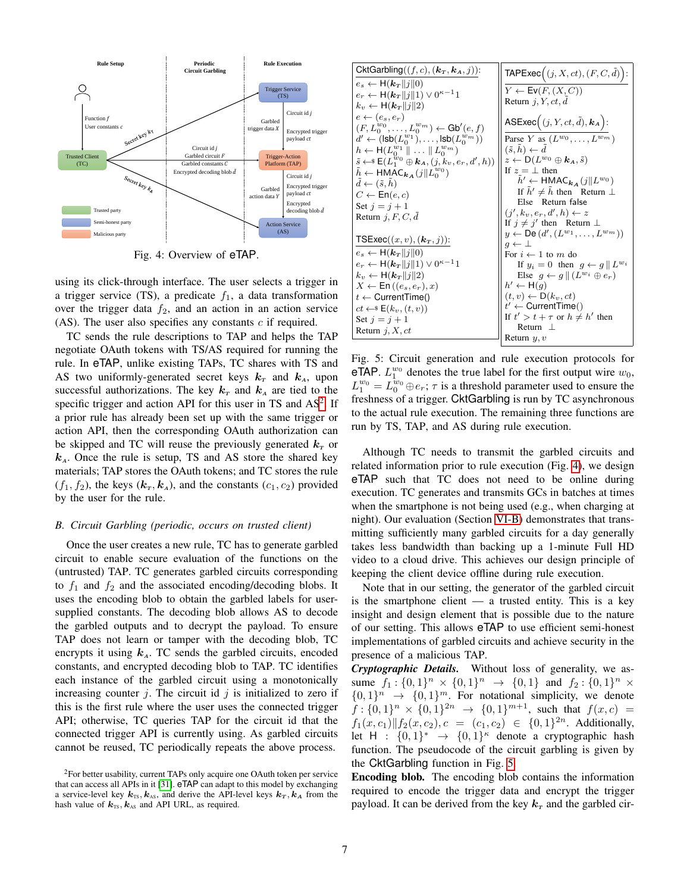<span id="page-6-0"></span>

Fig. 4: Overview of eTAP.

using its click-through interface. The user selects a trigger in a trigger service (TS), a predicate  $f_1$ , a data transformation over the trigger data  $f_2$ , and an action in an action service (AS). The user also specifies any constants  $c$  if required.

TC sends the rule descriptions to TAP and helps the TAP negotiate OAuth tokens with TS/AS required for running the rule. In eTAP, unlike existing TAPs, TC shares with TS and AS two uniformly-generated secret keys  $k<sub>T</sub>$  and  $k<sub>A</sub>$ , upon successful authorizations. The key  $k_T$  and  $k_A$  are tied to the specific trigger and action API for this user in TS and  $AS<sup>2</sup>$  $AS<sup>2</sup>$  $AS<sup>2</sup>$ . If a prior rule has already been set up with the same trigger or action API, then the corresponding OAuth authorization can be skipped and TC will reuse the previously generated  $k_T$  or  $k_A$ . Once the rule is setup, TS and AS store the shared key materials; TAP stores the OAuth tokens; and TC stores the rule  $(f_1, f_2)$ , the keys  $(k_T, k_A)$ , and the constants  $(c_1, c_2)$  provided by the user for the rule.

#### *B. Circuit Garbling (periodic, occurs on trusted client)*

Once the user creates a new rule, TC has to generate garbled circuit to enable secure evaluation of the functions on the (untrusted) TAP. TC generates garbled circuits corresponding to  $f_1$  and  $f_2$  and the associated encoding/decoding blobs. It uses the encoding blob to obtain the garbled labels for usersupplied constants. The decoding blob allows AS to decode the garbled outputs and to decrypt the payload. To ensure TAP does not learn or tamper with the decoding blob, TC encrypts it using  $k_A$ . TC sends the garbled circuits, encoded constants, and encrypted decoding blob to TAP. TC identifies each instance of the garbled circuit using a monotonically increasing counter j. The circuit id j is initialized to zero if this is the first rule where the user uses the connected trigger API; otherwise, TC queries TAP for the circuit id that the connected trigger API is currently using. As garbled circuits cannot be reused, TC periodically repeats the above process.

<span id="page-6-1"></span>CktGarbling((f, c), (k<sup>T</sup> , kA, j)): e<sup>s</sup> ← H(k<sup>T</sup> kjk0) e<sup>r</sup> ← H(k<sup>T</sup> kjk1) ∨ 0 <sup>κ</sup>−11 k<sup>v</sup> ← H(k<sup>T</sup> kjk2) e ← (es, er) (F, Lw<sup>0</sup> 0 , . . . , Lw<sup>m</sup> 0 ) ← Gb<sup>0</sup> (e, f) d <sup>0</sup> ← (lsb(L w1 0 ), . . . , lsb(L wm 0 )) h ← H(L w1 0 k . . . k L wm 0 ) s˜←\$ E(L w0 <sup>1</sup> <sup>⊕</sup> <sup>k</sup>A, (j, kv, er, d<sup>0</sup> , h)) <sup>h</sup>˜ <sup>←</sup> HMACk<sup>A</sup> (jk<sup>L</sup> w0 0 ) d˜← (˜s, h˜) C ← En(e, c) Set j = j + 1 Return j, F, C, d˜ TSExec((x, v), (k<sup>T</sup> , j)): e<sup>s</sup> ← H(k<sup>T</sup> kjk0) e<sup>r</sup> ← H(k<sup>T</sup> kjk1) ∨ 0 <sup>κ</sup>−11 k<sup>v</sup> ← H(k<sup>T</sup> kjk2) X ← En ((es, er), x) t ← CurrentTime() ct ←\$ E(kv, (t, v)) Set j = j + 1 Return j, X, ct TAPExec (j, X, ct), (F, C, d˜) : Y ← Ev(F, (X, C)) Return j, Y, ct, d˜ ASExec (j, Y, ct, d˜), k<sup>A</sup> : Parse Y as (Lw<sup>0</sup> , . . . , Lwm) (˜s, h˜) ← d˜ z ← D(Lw<sup>0</sup> ⊕ kA, s˜) If z = ⊥ then <sup>h</sup>˜<sup>0</sup> <sup>←</sup> HMACk<sup>A</sup> (jkLw<sup>0</sup> ) If h˜<sup>0</sup> 6= h˜ then Return ⊥ Else Return false (j 0 , kv, er, d<sup>0</sup> , h) ← z If j 6= j 0 then Return ⊥ y ← De (d 0 , (Lw<sup>1</sup> , . . . , Lwm)) g ← ⊥ For i ← 1 to m do If y<sup>i</sup> = 0 then g ← g k Lw<sup>i</sup> Else g ← g k (Lw<sup>i</sup> ⊕ er) h <sup>0</sup> ← H(g) (t, v) ← D(kv, ct) t <sup>0</sup> ← CurrentTime() If t <sup>0</sup> > t + τ or h 6= h 0 then Return ⊥ Return y, v

Fig. 5: Circuit generation and rule execution protocols for eTAP.  $L_1^{w_0}$  denotes the true label for the first output wire  $w_0$ ,  $L_1^{w_0} = L_0^{\overline{w}_0} \oplus e_r$ ;  $\tau$  is a threshold parameter used to ensure the freshness of a trigger. CktGarbling is run by TC asynchronous to the actual rule execution. The remaining three functions are run by TS, TAP, and AS during rule execution.

Although TC needs to transmit the garbled circuits and related information prior to rule execution (Fig. [4\)](#page-6-0), we design eTAP such that TC does not need to be online during execution. TC generates and transmits GCs in batches at times when the smartphone is not being used (e.g., when charging at night). Our evaluation (Section [VI-B\)](#page-10-0) demonstrates that transmitting sufficiently many garbled circuits for a day generally takes less bandwidth than backing up a 1-minute Full HD video to a cloud drive. This achieves our design principle of keeping the client device offline during rule execution.

Note that in our setting, the generator of the garbled circuit is the smartphone client  $-$  a trusted entity. This is a key insight and design element that is possible due to the nature of our setting. This allows eTAP to use efficient semi-honest implementations of garbled circuits and achieve security in the presence of a malicious TAP.

*Cryptographic Details.* Without loss of generality, we assume  $f_1: \{0,1\}^n \times \{0,1\}^n \rightarrow \{0,1\}$  and  $f_2: \{0,1\}^n \times$  $\{0,1\}^n \rightarrow \{0,1\}^m$ . For notational simplicity, we denote  $f: \{0,1\}^n \times \{0,1\}^{2n} \rightarrow \{0,1\}^{m+1}$ , such that  $f(x, c) =$  $f_1(x, c_1) || f_2(x, c_2), c = (c_1, c_2) \in \{0, 1\}^{2n}$ . Additionally, let  $H : \{0,1\}^* \rightarrow \{0,1\}^{\kappa}$  denote a cryptographic hash function. The pseudocode of the circuit garbling is given by the CktGarbling function in Fig. [5.](#page-6-1)

Encoding blob. The encoding blob contains the information required to encode the trigger data and encrypt the trigger payload. It can be derived from the key  $k<sub>T</sub>$  and the garbled cir-

 $2F$  For better usability, current TAPs only acquire one OAuth token per service that can access all APIs in it [\[31\]](#page-13-14). eTAP can adapt to this model by exchanging a service-level key  $k_{\text{TS}}, k_{\text{AS}}$ , and derive the API-level keys  $k_{\text{T}}, k_{\text{A}}$  from the hash value of  $k_{TS}$ ,  $k_{AS}$  and API URL, as required.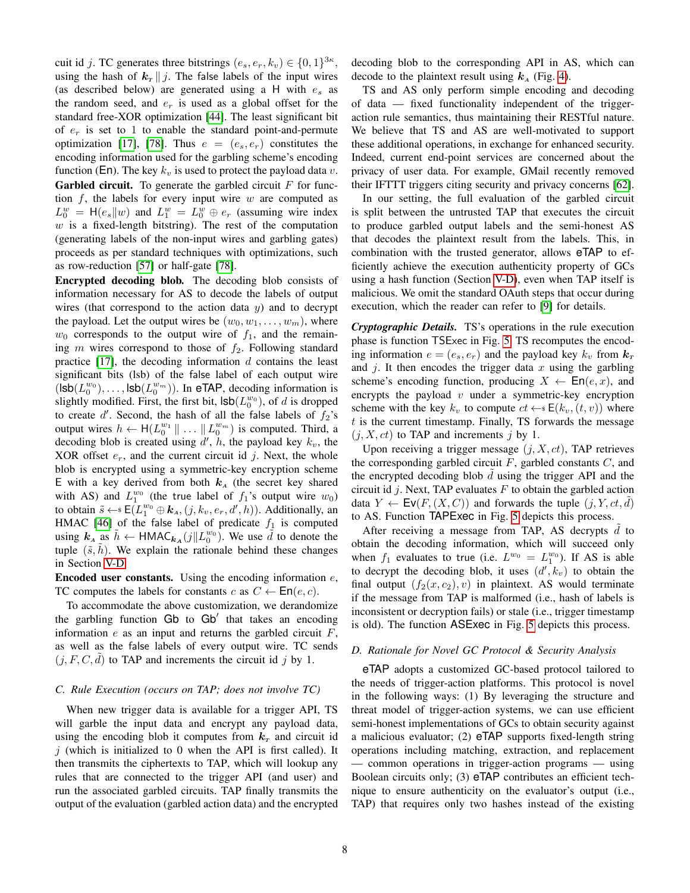cuit id j. TC generates three bitstrings  $(e_s, e_r, k_v) \in \{0, 1\}^{3\kappa}$ , using the hash of  $k_T || j$ . The false labels of the input wires (as described below) are generated using a H with  $e_s$  as the random seed, and  $e_r$  is used as a global offset for the standard free-XOR optimization [\[44\]](#page-13-17). The least significant bit of  $e_r$  is set to 1 to enable the standard point-and-permute optimization [\[17\]](#page-13-26), [\[78\]](#page-14-23). Thus  $e = (e_s, e_r)$  constitutes the encoding information used for the garbling scheme's encoding function (En). The key  $k_v$  is used to protect the payload data v. **Garbled circuit.** To generate the garbled circuit  $F$  for function  $f$ , the labels for every input wire  $w$  are computed as  $L_0^w = H(e_s||w)$  and  $L_1^w = L_0^w \oplus e_r$  (assuming wire index  $w$  is a fixed-length bitstring). The rest of the computation (generating labels of the non-input wires and garbling gates) proceeds as per standard techniques with optimizations, such as row-reduction [\[57\]](#page-14-24) or half-gate [\[78\]](#page-14-23).

Encrypted decoding blob. The decoding blob consists of information necessary for AS to decode the labels of output wires (that correspond to the action data  $y$ ) and to decrypt the payload. Let the output wires be  $(w_0, w_1, \ldots, w_m)$ , where  $w_0$  corresponds to the output wire of  $f_1$ , and the remaining m wires correspond to those of  $f_2$ . Following standard practice  $[17]$ , the decoding information d contains the least significant bits (lsb) of the false label of each output wire  $({\sf Isb}(L_0^{w_0}), \ldots, {\sf Isb}(L_0^{w_m}))$ . In eTAP, decoding information is slightly modified. First, the first bit,  $\textsf{lsb}(L_0^{w_0})$ , of d is dropped to create  $d'$ . Second, the hash of all the false labels of  $f_2$ 's output wires  $h \leftarrow H(L_0^{w_1} \| \dots \| L_0^{w_m})$  is computed. Third, a decoding blob is created using  $d'$ ,  $\hat{h}$ , the payload key  $k_v$ , the XOR offset  $e_r$ , and the current circuit id j. Next, the whole blob is encrypted using a symmetric-key encryption scheme E with a key derived from both  $k_A$  (the secret key shared with AS) and  $L_1^{w_0}$  (the true label of  $f_1$ 's output wire  $w_0$ ) to obtain  $\tilde{s} \leftarrow \varepsilon \left( L_1^{w_0} \oplus \mathbf{k}_A, (j, k_v, e_r, d', h) \right)$ . Additionally, an HMAC [\[46\]](#page-14-25) of the false label of predicate  $f_1$  is computed using  $k_A$  as  $\tilde{h} \leftarrow \text{HMAC}_{k_A}(j||L_0^{w_0})$ . We use  $\tilde{d}$  to denote the tuple  $(\tilde{s}, h)$ . We explain the rationale behind these changes in Section [V-D.](#page-7-0)

**Encoded user constants.** Using the encoding information  $e$ , TC computes the labels for constants c as  $C \leftarrow \textsf{En}(e, c)$ .

To accommodate the above customization, we derandomize the garbling function Gb to Gb<sup>'</sup> that takes an encoding information  $e$  as an input and returns the garbled circuit  $F$ , as well as the false labels of every output wire. TC sends  $(j, F, C, d)$  to TAP and increments the circuit id j by 1.

#### *C. Rule Execution (occurs on TAP; does not involve TC)*

When new trigger data is available for a trigger API, TS will garble the input data and encrypt any payload data, using the encoding blob it computes from  $k_T$  and circuit id  $j$  (which is initialized to 0 when the API is first called). It then transmits the ciphertexts to TAP, which will lookup any rules that are connected to the trigger API (and user) and run the associated garbled circuits. TAP finally transmits the output of the evaluation (garbled action data) and the encrypted decoding blob to the corresponding API in AS, which can decode to the plaintext result using  $k_A$  (Fig. [4\)](#page-6-0).

TS and AS only perform simple encoding and decoding of data — fixed functionality independent of the triggeraction rule semantics, thus maintaining their RESTful nature. We believe that TS and AS are well-motivated to support these additional operations, in exchange for enhanced security. Indeed, current end-point services are concerned about the privacy of user data. For example, GMail recently removed their IFTTT triggers citing security and privacy concerns [\[62\]](#page-14-6).

In our setting, the full evaluation of the garbled circuit is split between the untrusted TAP that executes the circuit to produce garbled output labels and the semi-honest AS that decodes the plaintext result from the labels. This, in combination with the trusted generator, allows eTAP to efficiently achieve the execution authenticity property of GCs using a hash function (Section [V-D\)](#page-7-0), even when TAP itself is malicious. We omit the standard OAuth steps that occur during execution, which the reader can refer to [\[9\]](#page-13-27) for details.

*Cryptographic Details.* TS's operations in the rule execution phase is function TSExec in Fig. [5.](#page-6-1) TS recomputes the encoding information  $e = (e_s, e_r)$  and the payload key  $k_v$  from  $k_T$ and  $j$ . It then encodes the trigger data  $x$  using the garbling scheme's encoding function, producing  $X \leftarrow \textsf{En}(e, x)$ , and encrypts the payload  $v$  under a symmetric-key encryption scheme with the key  $k_v$  to compute  $ct \leftarrow s E(k_v,(t,v))$  where  $t$  is the current timestamp. Finally, TS forwards the message  $(j, X, ct)$  to TAP and increments j by 1.

Upon receiving a trigger message  $(i, X, ct)$ , TAP retrieves the corresponding garbled circuit  $F$ , garbled constants  $C$ , and the encrypted decoding blob  $\tilde{d}$  using the trigger API and the circuit id  $j$ . Next, TAP evaluates  $F$  to obtain the garbled action data  $Y \leftarrow \mathsf{Ev}(F,(X,C))$  and forwards the tuple  $(j, Y, ct, d)$ to AS. Function TAPExec in Fig. [5](#page-6-1) depicts this process.

After receiving a message from TAP, AS decrypts  $d$  to obtain the decoding information, which will succeed only when  $f_1$  evaluates to true (i.e.  $L^{w_0} = L_1^{w_0}$ ). If AS is able to decrypt the decoding blob, it uses  $(d', k_v)$  to obtain the final output  $(f_2(x, c_2), v)$  in plaintext. AS would terminate if the message from TAP is malformed (i.e., hash of labels is inconsistent or decryption fails) or stale (i.e., trigger timestamp is old). The function ASExec in Fig. [5](#page-6-1) depicts this process.

#### <span id="page-7-0"></span>*D. Rationale for Novel GC Protocol & Security Analysis*

eTAP adopts a customized GC-based protocol tailored to the needs of trigger-action platforms. This protocol is novel in the following ways: (1) By leveraging the structure and threat model of trigger-action systems, we can use efficient semi-honest implementations of GCs to obtain security against a malicious evaluator; (2) eTAP supports fixed-length string operations including matching, extraction, and replacement — common operations in trigger-action programs — using Boolean circuits only; (3) eTAP contributes an efficient technique to ensure authenticity on the evaluator's output (i.e., TAP) that requires only two hashes instead of the existing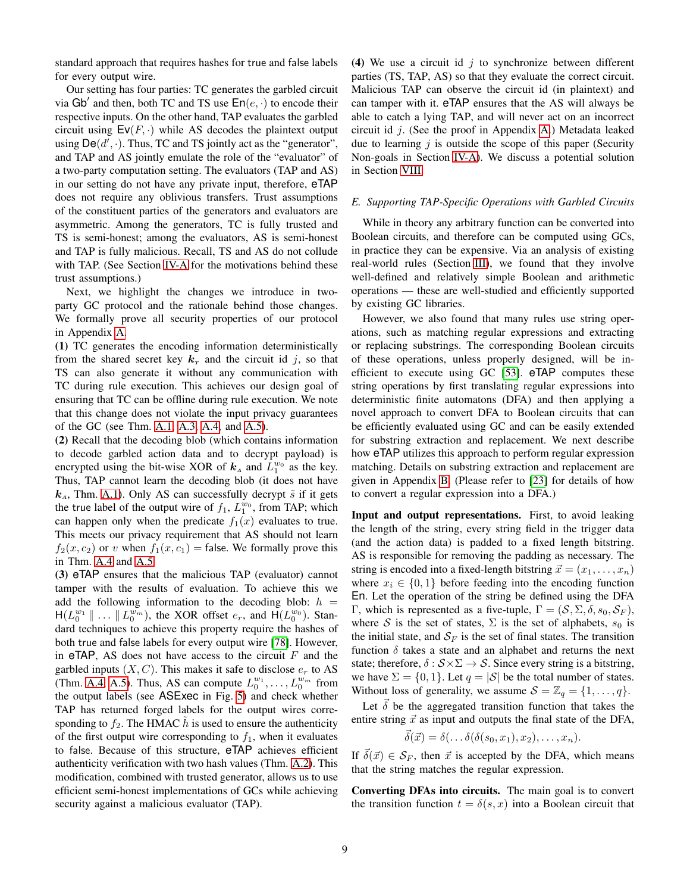standard approach that requires hashes for true and false labels for every output wire.

Our setting has four parties: TC generates the garbled circuit via Gb' and then, both TC and TS use  $En(e, \cdot)$  to encode their respective inputs. On the other hand, TAP evaluates the garbled circuit using  $\textsf{Ev}(F, \cdot)$  while AS decodes the plaintext output using  $\textsf{De}(d', \cdot)$ . Thus, TC and TS jointly act as the "generator", and TAP and AS jointly emulate the role of the "evaluator" of a two-party computation setting. The evaluators (TAP and AS) in our setting do not have any private input, therefore, eTAP does not require any oblivious transfers. Trust assumptions of the constituent parties of the generators and evaluators are asymmetric. Among the generators, TC is fully trusted and TS is semi-honest; among the evaluators, AS is semi-honest and TAP is fully malicious. Recall, TS and AS do not collude with TAP. (See Section [IV-A](#page-4-0) for the motivations behind these trust assumptions.)

Next, we highlight the changes we introduce in twoparty GC protocol and the rationale behind those changes. We formally prove all security properties of our protocol in Appendix [A.](#page-14-12)

(1) TC generates the encoding information deterministically from the shared secret key  $k<sub>T</sub>$  and the circuit id j, so that TS can also generate it without any communication with TC during rule execution. This achieves our design goal of ensuring that TC can be offline during rule execution. We note that this change does not violate the input privacy guarantees of the GC (see Thm. [A.1,](#page-14-26) [A.3,](#page-16-0) [A.4,](#page-16-1) and [A.5\)](#page-16-2).

(2) Recall that the decoding blob (which contains information to decode garbled action data and to decrypt payload) is encrypted using the bit-wise XOR of  $k_A$  and  $L_1^{w_0}$  as the key. Thus, TAP cannot learn the decoding blob (it does not have  $k_A$ , Thm. [A.1\)](#page-14-26). Only AS can successfully decrypt  $\tilde{s}$  if it gets the true label of the output wire of  $f_1$ ,  $L_1^{w_0}$ , from TAP; which can happen only when the predicate  $f_1(x)$  evaluates to true. This meets our privacy requirement that AS should not learn  $f_2(x, c_2)$  or v when  $f_1(x, c_1)$  = false. We formally prove this in Thm. [A.4](#page-16-1) and [A.5.](#page-16-2)

(3) eTAP ensures that the malicious TAP (evaluator) cannot tamper with the results of evaluation. To achieve this we add the following information to the decoding blob:  $h =$  $H(L_0^{w_1} \| ... \| L_0^{w_m})$ , the XOR offset  $e_r$ , and  $H(L_0^{w_0})$ . Standard techniques to achieve this property require the hashes of both true and false labels for every output wire [\[78\]](#page-14-23). However, in  $e\mathsf{TAP}$ , AS does not have access to the circuit  $F$  and the garbled inputs  $(X, C)$ . This makes it safe to disclose  $e_r$  to AS (Thm. [A.4,](#page-16-1) [A.5\)](#page-16-2). Thus, AS can compute  $L_0^{w_1}, \ldots, L_0^{w_m}$  from the output labels (see ASExec in Fig. [5\)](#page-6-1) and check whether TAP has returned forged labels for the output wires corresponding to  $f_2$ . The HMAC h is used to ensure the authenticity of the first output wire corresponding to  $f_1$ , when it evaluates to false. Because of this structure, eTAP achieves efficient authenticity verification with two hash values (Thm. [A.2\)](#page-15-0). This modification, combined with trusted generator, allows us to use efficient semi-honest implementations of GCs while achieving security against a malicious evaluator (TAP).

(4) We use a circuit id  $j$  to synchronize between different parties (TS, TAP, AS) so that they evaluate the correct circuit. Malicious TAP can observe the circuit id (in plaintext) and can tamper with it. eTAP ensures that the AS will always be able to catch a lying TAP, and will never act on an incorrect circuit id  $j$ . (See the proof in Appendix [A.](#page-14-12)) Metadata leaked due to learning  $\dot{\gamma}$  is outside the scope of this paper (Security Non-goals in Section [IV-A\)](#page-4-0). We discuss a potential solution in Section [VIII.](#page-12-0)

#### <span id="page-8-0"></span>*E. Supporting TAP-Specific Operations with Garbled Circuits*

While in theory any arbitrary function can be converted into Boolean circuits, and therefore can be computed using GCs, in practice they can be expensive. Via an analysis of existing real-world rules (Section [III\)](#page-3-0), we found that they involve well-defined and relatively simple Boolean and arithmetic operations — these are well-studied and efficiently supported by existing GC libraries.

However, we also found that many rules use string operations, such as matching regular expressions and extracting or replacing substrings. The corresponding Boolean circuits of these operations, unless properly designed, will be inefficient to execute using GC [\[53\]](#page-14-27). eTAP computes these string operations by first translating regular expressions into deterministic finite automatons (DFA) and then applying a novel approach to convert DFA to Boolean circuits that can be efficiently evaluated using GC and can be easily extended for substring extraction and replacement. We next describe how  $e<sup>TAP</sup>$  utilizes this approach to perform regular expression matching. Details on substring extraction and replacement are given in Appendix [B.](#page-16-3) (Please refer to [\[23\]](#page-13-28) for details of how to convert a regular expression into a DFA.)

Input and output representations. First, to avoid leaking the length of the string, every string field in the trigger data (and the action data) is padded to a fixed length bitstring. AS is responsible for removing the padding as necessary. The string is encoded into a fixed-length bitstring  $\vec{x} = (x_1, \ldots, x_n)$ where  $x_i \in \{0, 1\}$  before feeding into the encoding function En. Let the operation of the string be defined using the DFA Γ, which is represented as a five-tuple,  $\Gamma = (\mathcal{S}, \Sigma, \delta, s_0, \mathcal{S}_F)$ , where S is the set of states,  $\Sigma$  is the set of alphabets,  $s_0$  is the initial state, and  $S_F$  is the set of final states. The transition function  $\delta$  takes a state and an alphabet and returns the next state; therefore,  $\delta : \mathcal{S} \times \Sigma \rightarrow \mathcal{S}$ . Since every string is a bitstring, we have  $\Sigma = \{0, 1\}$ . Let  $q = |\mathcal{S}|$  be the total number of states. Without loss of generality, we assume  $S = \mathbb{Z}_q = \{1, \ldots, q\}.$ 

Let  $\vec{\delta}$  be the aggregated transition function that takes the entire string  $\vec{x}$  as input and outputs the final state of the DFA,

$$
\vec{\delta}(\vec{x}) = \delta(\ldots \delta(\delta(s_0, x_1), x_2), \ldots, x_n).
$$

If  $\delta(\vec{x}) \in S_F$ , then  $\vec{x}$  is accepted by the DFA, which means that the string matches the regular expression.

Converting DFAs into circuits. The main goal is to convert the transition function  $t = \delta(s, x)$  into a Boolean circuit that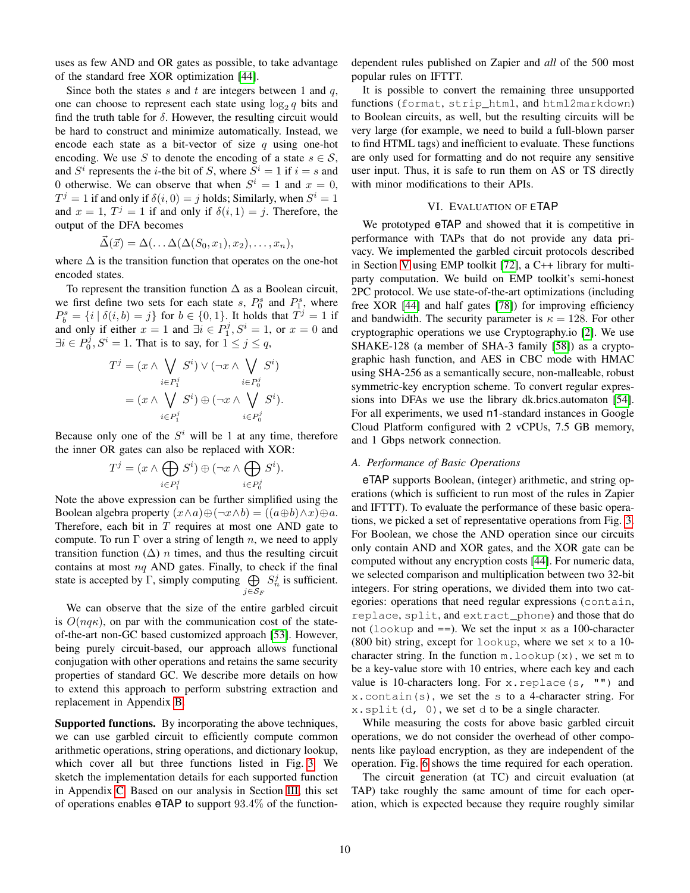uses as few AND and OR gates as possible, to take advantage of the standard free XOR optimization [\[44\]](#page-13-17).

Since both the states s and t are integers between 1 and  $q$ , one can choose to represent each state using  $\log_2 q$  bits and find the truth table for  $\delta$ . However, the resulting circuit would be hard to construct and minimize automatically. Instead, we encode each state as a bit-vector of size q using one-hot encoding. We use S to denote the encoding of a state  $s \in \mathcal{S}$ , and  $S^i$  represents the *i*-the bit of S, where  $S^i = 1$  if  $i = s$  and 0 otherwise. We can observe that when  $S^i = 1$  and  $x = 0$ ,  $T^j = 1$  if and only if  $\delta(i, 0) = j$  holds; Similarly, when  $S^i = 1$ and  $x = 1$ ,  $T^j = 1$  if and only if  $\delta(i, 1) = j$ . Therefore, the output of the DFA becomes

$$
\vec{\Delta}(\vec{x}) = \Delta(\dots \Delta(\Delta(S_0, x_1), x_2), \dots, x_n),
$$

where  $\Delta$  is the transition function that operates on the one-hot encoded states.

To represent the transition function  $\Delta$  as a Boolean circuit, we first define two sets for each state  $s$ ,  $P_0^s$  and  $P_1^s$ , where  $P_b^s = \{i \mid \delta(i, b) = j\}$  for  $b \in \{0, 1\}$ . It holds that  $T^j = 1$  if and only if either  $x = 1$  and  $\exists i \in P_1^j, S^i = 1$ , or  $x = 0$  and  $\exists i \in P_0^j, S^i = 1$ . That is to say, for  $1 \le j \le q$ ,

$$
T^j = (x \wedge \bigvee_{i \in P_1^j} S^i) \vee (\neg x \wedge \bigvee_{i \in P_0^j} S^i)
$$
  
=  $(x \wedge \bigvee_{i \in P_1^j} S^i) \oplus (\neg x \wedge \bigvee_{i \in P_0^j} S^i).$ 

Because only one of the  $S^i$  will be 1 at any time, therefore the inner OR gates can also be replaced with XOR:

$$
T^j = (x \wedge \bigoplus_{i \in P_1^j} S^i) \oplus (\neg x \wedge \bigoplus_{i \in P_0^j} S^i).
$$

Note the above expression can be further simplified using the Boolean algebra property  $(x \wedge a) \oplus (\neg x \wedge b) = ((a \oplus b) \wedge x) \oplus a$ . Therefore, each bit in  $T$  requires at most one AND gate to compute. To run  $\Gamma$  over a string of length n, we need to apply transition function  $(∆)$  *n* times, and thus the resulting circuit contains at most  $nq$  AND gates. Finally, to check if the final state is accepted by  $\Gamma$ , simply computing  $\bigoplus S_n^j$  is sufficient.  $j$ ∈ $\mathcal{S}_F$ 

We can observe that the size of the entire garbled circuit is  $O(nq\kappa)$ , on par with the communication cost of the stateof-the-art non-GC based customized approach [\[53\]](#page-14-27). However, being purely circuit-based, our approach allows functional conjugation with other operations and retains the same security properties of standard GC. We describe more details on how to extend this approach to perform substring extraction and replacement in Appendix [B.](#page-16-3)

Supported functions. By incorporating the above techniques, we can use garbled circuit to efficiently compute common arithmetic operations, string operations, and dictionary lookup, which cover all but three functions listed in Fig. [3.](#page-3-2) We sketch the implementation details for each supported function in Appendix [C.](#page-17-1) Based on our analysis in Section [III,](#page-3-0) this set of operations enables eTAP to support 93.4% of the functiondependent rules published on Zapier and *all* of the 500 most popular rules on IFTTT.

It is possible to convert the remaining three unsupported functions (format, strip\_html, and html2markdown) to Boolean circuits, as well, but the resulting circuits will be very large (for example, we need to build a full-blown parser to find HTML tags) and inefficient to evaluate. These functions are only used for formatting and do not require any sensitive user input. Thus, it is safe to run them on AS or TS directly with minor modifications to their APIs.

#### VI. EVALUATION OF ETAP

<span id="page-9-0"></span>We prototyped eTAP and showed that it is competitive in performance with TAPs that do not provide any data privacy. We implemented the garbled circuit protocols described in Section [V](#page-5-0) using EMP toolkit [\[72\]](#page-14-28), a C++ library for multiparty computation. We build on EMP toolkit's semi-honest 2PC protocol. We use state-of-the-art optimizations (including free XOR [\[44\]](#page-13-17) and half gates [\[78\]](#page-14-23)) for improving efficiency and bandwidth. The security parameter is  $\kappa = 128$ . For other cryptographic operations we use Cryptography.io [\[2\]](#page-13-29). We use SHAKE-128 (a member of SHA-3 family [\[58\]](#page-14-29)) as a cryptographic hash function, and AES in CBC mode with HMAC using SHA-256 as a semantically secure, non-malleable, robust symmetric-key encryption scheme. To convert regular expressions into DFAs we use the library dk.brics.automaton [\[54\]](#page-14-30). For all experiments, we used n1-standard instances in Google Cloud Platform configured with 2 vCPUs, 7.5 GB memory, and 1 Gbps network connection.

## *A. Performance of Basic Operations*

eTAP supports Boolean, (integer) arithmetic, and string operations (which is sufficient to run most of the rules in Zapier and IFTTT). To evaluate the performance of these basic operations, we picked a set of representative operations from Fig. [3.](#page-3-2) For Boolean, we chose the AND operation since our circuits only contain AND and XOR gates, and the XOR gate can be computed without any encryption costs [\[44\]](#page-13-17). For numeric data, we selected comparison and multiplication between two 32-bit integers. For string operations, we divided them into two categories: operations that need regular expressions (contain, replace, split, and extract\_phone) and those that do not (lookup and  $==$ ). We set the input x as a 100-character  $(800 \text{ bit})$  string, except for lookup, where we set x to a 10character string. In the function  $m.$  lookup(x), we set  $m$  to be a key-value store with 10 entries, where each key and each value is 10-characters long. For x. replace(s, "") and x.contain(s), we set the s to a 4-character string. For  $x \cdot s$ plit(d, 0), we set d to be a single character.

While measuring the costs for above basic garbled circuit operations, we do not consider the overhead of other components like payload encryption, as they are independent of the operation. Fig. [6](#page-10-1) shows the time required for each operation.

The circuit generation (at TC) and circuit evaluation (at TAP) take roughly the same amount of time for each operation, which is expected because they require roughly similar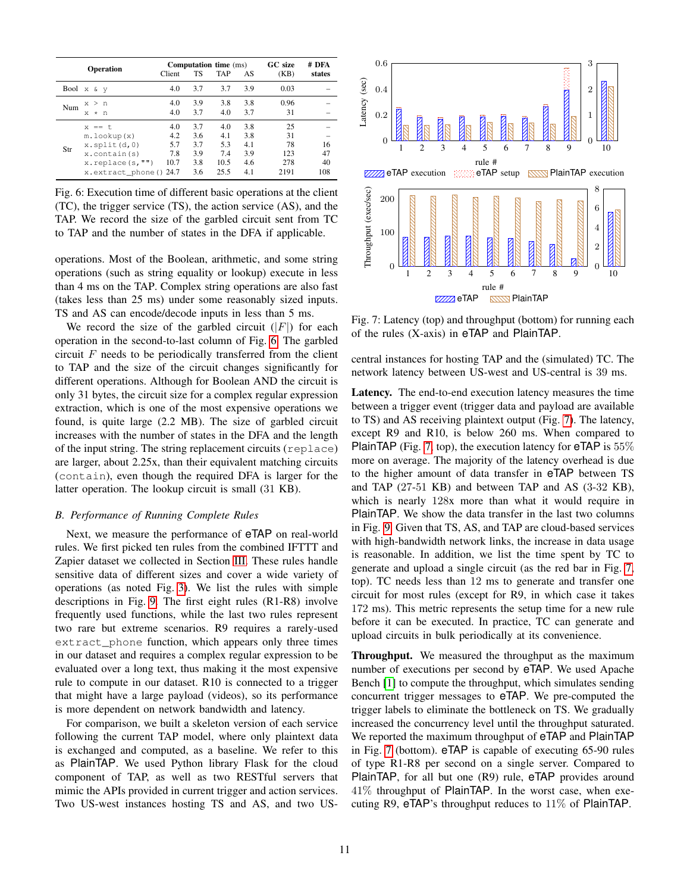<span id="page-10-1"></span>

|     | Operation                                                                                                                             | Client                           | TS                                     | <b>Computation time</b> (ms)<br><b>TAP</b> | AS                                     | GC size<br>(KB)                      | # DFA<br>states       |
|-----|---------------------------------------------------------------------------------------------------------------------------------------|----------------------------------|----------------------------------------|--------------------------------------------|----------------------------------------|--------------------------------------|-----------------------|
|     | Bool $x \& y$                                                                                                                         | 4.0                              | 3.7                                    | 3.7                                        | 3.9                                    | 0.03                                 |                       |
| Num | x > n<br>$*$ n<br>x                                                                                                                   | 4.0<br>4.0                       | 3.9<br>3.7                             | 3.8<br>4.0                                 | 3.8<br>3.7                             | 0.96<br>31                           |                       |
| Str | $x == t$<br>$m.$ lookup $(x)$<br>$x.\text{split}(d,0)$<br>$x.\text{contain}(s)$<br>$x.\text{replace}(s,"")$<br>x.extract_phone() 24.7 | 4.0<br>4.2<br>5.7<br>7.8<br>10.7 | 3.7<br>3.6<br>3.7<br>3.9<br>3.8<br>3.6 | 4.0<br>4.1<br>5.3<br>7.4<br>10.5<br>25.5   | 3.8<br>3.8<br>4.1<br>3.9<br>4.6<br>4.1 | 25<br>31<br>78<br>123<br>278<br>2191 | 16<br>47<br>40<br>108 |

Fig. 6: Execution time of different basic operations at the client (TC), the trigger service (TS), the action service (AS), and the TAP. We record the size of the garbled circuit sent from TC to TAP and the number of states in the DFA if applicable.

operations. Most of the Boolean, arithmetic, and some string operations (such as string equality or lookup) execute in less than 4 ms on the TAP. Complex string operations are also fast (takes less than 25 ms) under some reasonably sized inputs. TS and AS can encode/decode inputs in less than 5 ms.

We record the size of the garbled circuit  $(|F|)$  for each operation in the second-to-last column of Fig. [6.](#page-10-1) The garbled circuit  $F$  needs to be periodically transferred from the client to TAP and the size of the circuit changes significantly for different operations. Although for Boolean AND the circuit is only 31 bytes, the circuit size for a complex regular expression extraction, which is one of the most expensive operations we found, is quite large (2.2 MB). The size of garbled circuit increases with the number of states in the DFA and the length of the input string. The string replacement circuits (replace) are larger, about 2.25x, than their equivalent matching circuits (contain), even though the required DFA is larger for the latter operation. The lookup circuit is small (31 KB).

#### <span id="page-10-0"></span>*B. Performance of Running Complete Rules*

Next, we measure the performance of eTAP on real-world rules. We first picked ten rules from the combined IFTTT and Zapier dataset we collected in Section [III.](#page-3-0) These rules handle sensitive data of different sizes and cover a wide variety of operations (as noted Fig. [3\)](#page-3-2). We list the rules with simple descriptions in Fig. [9.](#page-17-0) The first eight rules (R1-R8) involve frequently used functions, while the last two rules represent two rare but extreme scenarios. R9 requires a rarely-used extract\_phone function, which appears only three times in our dataset and requires a complex regular expression to be evaluated over a long text, thus making it the most expensive rule to compute in our dataset. R10 is connected to a trigger that might have a large payload (videos), so its performance is more dependent on network bandwidth and latency.

For comparison, we built a skeleton version of each service following the current TAP model, where only plaintext data is exchanged and computed, as a baseline. We refer to this as PlainTAP. We used Python library Flask for the cloud component of TAP, as well as two RESTful servers that mimic the APIs provided in current trigger and action services. Two US-west instances hosting TS and AS, and two US-

<span id="page-10-2"></span>

Fig. 7: Latency (top) and throughput (bottom) for running each of the rules (X-axis) in eTAP and PlainTAP.

central instances for hosting TAP and the (simulated) TC. The network latency between US-west and US-central is 39 ms.

Latency. The end-to-end execution latency measures the time between a trigger event (trigger data and payload are available to TS) and AS receiving plaintext output (Fig. [7\)](#page-10-2). The latency, except R9 and R10, is below 260 ms. When compared to **PlainTAP** (Fig. [7,](#page-10-2) top), the execution latency for  $eTAP$  is  $55\%$ more on average. The majority of the latency overhead is due to the higher amount of data transfer in eTAP between TS and TAP (27-51 KB) and between TAP and AS (3-32 KB), which is nearly 128x more than what it would require in PlainTAP. We show the data transfer in the last two columns in Fig. [9.](#page-17-0) Given that TS, AS, and TAP are cloud-based services with high-bandwidth network links, the increase in data usage is reasonable. In addition, we list the time spent by TC to generate and upload a single circuit (as the red bar in Fig. [7,](#page-10-2) top). TC needs less than 12 ms to generate and transfer one circuit for most rules (except for R9, in which case it takes 172 ms). This metric represents the setup time for a new rule before it can be executed. In practice, TC can generate and upload circuits in bulk periodically at its convenience.

Throughput. We measured the throughput as the maximum number of executions per second by eTAP. We used Apache Bench [\[1\]](#page-13-30) to compute the throughput, which simulates sending concurrent trigger messages to eTAP. We pre-computed the trigger labels to eliminate the bottleneck on TS. We gradually increased the concurrency level until the throughput saturated. We reported the maximum throughput of eTAP and PlainTAP in Fig. [7](#page-10-2) (bottom). eTAP is capable of executing 65-90 rules of type R1-R8 per second on a single server. Compared to PlainTAP, for all but one (R9) rule, eTAP provides around 41% throughput of PlainTAP. In the worst case, when executing R9, eTAP's throughput reduces to 11% of PlainTAP.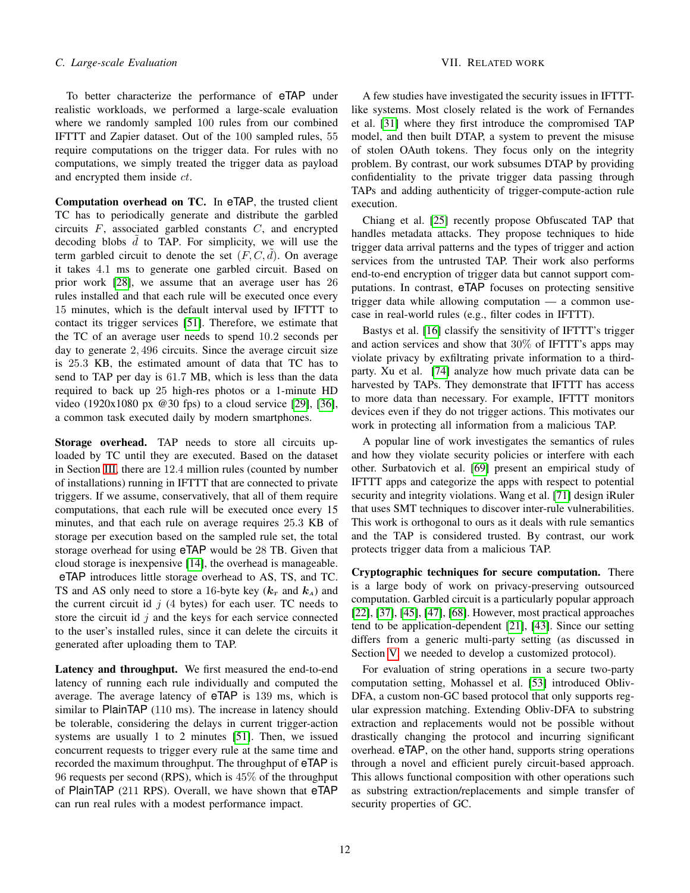To better characterize the performance of eTAP under realistic workloads, we performed a large-scale evaluation where we randomly sampled 100 rules from our combined IFTTT and Zapier dataset. Out of the 100 sampled rules, 55 require computations on the trigger data. For rules with no computations, we simply treated the trigger data as payload and encrypted them inside ct.

Computation overhead on TC. In eTAP, the trusted client TC has to periodically generate and distribute the garbled circuits  $F$ , associated garbled constants  $C$ , and encrypted decoding blobs  $\tilde{d}$  to TAP. For simplicity, we will use the term garbled circuit to denote the set  $(F, C, d)$ . On average it takes 4.1 ms to generate one garbled circuit. Based on prior work [\[28\]](#page-13-31), we assume that an average user has 26 rules installed and that each rule will be executed once every 15 minutes, which is the default interval used by IFTTT to contact its trigger services [\[51\]](#page-14-16). Therefore, we estimate that the TC of an average user needs to spend 10.2 seconds per day to generate 2, 496 circuits. Since the average circuit size is 25.3 KB, the estimated amount of data that TC has to send to TAP per day is 61.7 MB, which is less than the data required to back up 25 high-res photos or a 1-minute HD video (1920x1080 px @30 fps) to a cloud service [\[29\]](#page-13-32), [\[36\]](#page-13-33), a common task executed daily by modern smartphones.

Storage overhead. TAP needs to store all circuits uploaded by TC until they are executed. Based on the dataset in Section [III,](#page-3-0) there are 12.4 million rules (counted by number of installations) running in IFTTT that are connected to private triggers. If we assume, conservatively, that all of them require computations, that each rule will be executed once every 15 minutes, and that each rule on average requires 25.3 KB of storage per execution based on the sampled rule set, the total storage overhead for using eTAP would be 28 TB. Given that cloud storage is inexpensive [\[14\]](#page-13-34), the overhead is manageable. eTAP introduces little storage overhead to AS, TS, and TC. TS and AS only need to store a 16-byte key  $(k_T \text{ and } k_A)$  and the current circuit id  $j$  (4 bytes) for each user. TC needs to store the circuit id  $j$  and the keys for each service connected to the user's installed rules, since it can delete the circuits it generated after uploading them to TAP.

Latency and throughput. We first measured the end-to-end latency of running each rule individually and computed the average. The average latency of eTAP is 139 ms, which is similar to PlainTAP (110 ms). The increase in latency should be tolerable, considering the delays in current trigger-action systems are usually 1 to 2 minutes [\[51\]](#page-14-16). Then, we issued concurrent requests to trigger every rule at the same time and recorded the maximum throughput. The throughput of eTAP is 96 requests per second (RPS), which is 45% of the throughput of PlainTAP (211 RPS). Overall, we have shown that eTAP can run real rules with a modest performance impact.

A few studies have investigated the security issues in IFTTTlike systems. Most closely related is the work of Fernandes et al. [\[31\]](#page-13-14) where they first introduce the compromised TAP model, and then built DTAP, a system to prevent the misuse of stolen OAuth tokens. They focus only on the integrity problem. By contrast, our work subsumes DTAP by providing confidentiality to the private trigger data passing through TAPs and adding authenticity of trigger-compute-action rule execution.

Chiang et al. [\[25\]](#page-13-35) recently propose Obfuscated TAP that handles metadata attacks. They propose techniques to hide trigger data arrival patterns and the types of trigger and action services from the untrusted TAP. Their work also performs end-to-end encryption of trigger data but cannot support computations. In contrast, eTAP focuses on protecting sensitive trigger data while allowing computation — a common usecase in real-world rules (e.g., filter codes in IFTTT).

Bastys et al. [\[16\]](#page-13-18) classify the sensitivity of IFTTT's trigger and action services and show that 30% of IFTTT's apps may violate privacy by exfiltrating private information to a thirdparty. Xu et al. [\[74\]](#page-14-31) analyze how much private data can be harvested by TAPs. They demonstrate that IFTTT has access to more data than necessary. For example, IFTTT monitors devices even if they do not trigger actions. This motivates our work in protecting all information from a malicious TAP.

A popular line of work investigates the semantics of rules and how they violate security policies or interfere with each other. Surbatovich et al. [\[69\]](#page-14-32) present an empirical study of IFTTT apps and categorize the apps with respect to potential security and integrity violations. Wang et al. [\[71\]](#page-14-33) design iRuler that uses SMT techniques to discover inter-rule vulnerabilities. This work is orthogonal to ours as it deals with rule semantics and the TAP is considered trusted. By contrast, our work protects trigger data from a malicious TAP.

Cryptographic techniques for secure computation. There is a large body of work on privacy-preserving outsourced computation. Garbled circuit is a particularly popular approach [\[22\]](#page-13-36), [\[37\]](#page-13-37), [\[45\]](#page-13-38), [\[47\]](#page-14-34), [\[68\]](#page-14-35). However, most practical approaches tend to be application-dependent [\[21\]](#page-13-39), [\[43\]](#page-13-40). Since our setting differs from a generic multi-party setting (as discussed in Section [V,](#page-5-0) we needed to develop a customized protocol).

For evaluation of string operations in a secure two-party computation setting, Mohassel et al. [\[53\]](#page-14-27) introduced Obliv-DFA, a custom non-GC based protocol that only supports regular expression matching. Extending Obliv-DFA to substring extraction and replacements would not be possible without drastically changing the protocol and incurring significant overhead. eTAP, on the other hand, supports string operations through a novel and efficient purely circuit-based approach. This allows functional composition with other operations such as substring extraction/replacements and simple transfer of security properties of GC.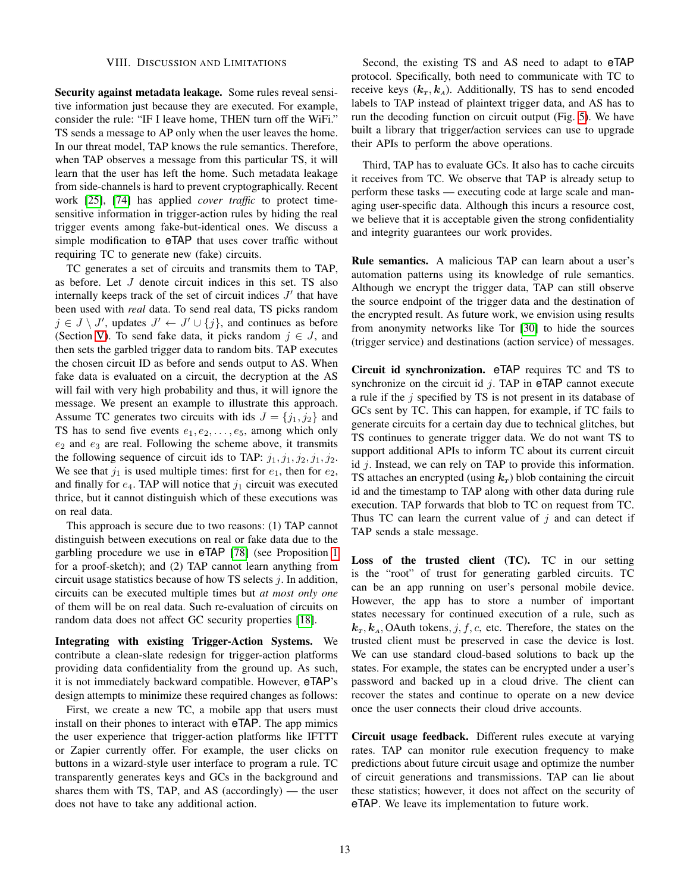#### VIII. DISCUSSION AND LIMITATIONS

<span id="page-12-0"></span>Security against metadata leakage. Some rules reveal sensitive information just because they are executed. For example, consider the rule: "IF I leave home, THEN turn off the WiFi." TS sends a message to AP only when the user leaves the home. In our threat model, TAP knows the rule semantics. Therefore, when TAP observes a message from this particular TS, it will learn that the user has left the home. Such metadata leakage from side-channels is hard to prevent cryptographically. Recent work [\[25\]](#page-13-35), [\[74\]](#page-14-31) has applied *cover traffic* to protect timesensitive information in trigger-action rules by hiding the real trigger events among fake-but-identical ones. We discuss a simple modification to eTAP that uses cover traffic without requiring TC to generate new (fake) circuits.

TC generates a set of circuits and transmits them to TAP, as before. Let J denote circuit indices in this set. TS also internally keeps track of the set of circuit indices  $J'$  that have been used with *real* data. To send real data, TS picks random  $j \in J \setminus J'$ , updates  $J' \leftarrow J' \cup \{j\}$ , and continues as before (Section [V\)](#page-5-0). To send fake data, it picks random  $j \in J$ , and then sets the garbled trigger data to random bits. TAP executes the chosen circuit ID as before and sends output to AS. When fake data is evaluated on a circuit, the decryption at the AS will fail with very high probability and thus, it will ignore the message. We present an example to illustrate this approach. Assume TC generates two circuits with ids  $J = \{j_1, j_2\}$  and TS has to send five events  $e_1, e_2, \ldots, e_5$ , among which only  $e_2$  and  $e_3$  are real. Following the scheme above, it transmits the following sequence of circuit ids to TAP:  $j_1, j_1, j_2, j_1, j_2$ . We see that  $j_1$  is used multiple times: first for  $e_1$ , then for  $e_2$ , and finally for  $e_4$ . TAP will notice that  $j_1$  circuit was executed thrice, but it cannot distinguish which of these executions was on real data.

This approach is secure due to two reasons: (1) TAP cannot distinguish between executions on real or fake data due to the garbling procedure we use in eTAP [\[78\]](#page-14-23) (see Proposition [1](#page-16-4) for a proof-sketch); and (2) TAP cannot learn anything from circuit usage statistics because of how TS selects  $i$ . In addition, circuits can be executed multiple times but *at most only one* of them will be on real data. Such re-evaluation of circuits on random data does not affect GC security properties [\[18\]](#page-13-16).

Integrating with existing Trigger-Action Systems. We contribute a clean-slate redesign for trigger-action platforms providing data confidentiality from the ground up. As such, it is not immediately backward compatible. However, eTAP's design attempts to minimize these required changes as follows:

First, we create a new TC, a mobile app that users must install on their phones to interact with eTAP. The app mimics the user experience that trigger-action platforms like IFTTT or Zapier currently offer. For example, the user clicks on buttons in a wizard-style user interface to program a rule. TC transparently generates keys and GCs in the background and shares them with TS, TAP, and AS (accordingly) — the user does not have to take any additional action.

Second, the existing TS and AS need to adapt to eTAP protocol. Specifically, both need to communicate with TC to receive keys  $(k_T, k_A)$ . Additionally, TS has to send encoded labels to TAP instead of plaintext trigger data, and AS has to run the decoding function on circuit output (Fig. [5\)](#page-6-1). We have built a library that trigger/action services can use to upgrade their APIs to perform the above operations.

Third, TAP has to evaluate GCs. It also has to cache circuits it receives from TC. We observe that TAP is already setup to perform these tasks — executing code at large scale and managing user-specific data. Although this incurs a resource cost, we believe that it is acceptable given the strong confidentiality and integrity guarantees our work provides.

Rule semantics. A malicious TAP can learn about a user's automation patterns using its knowledge of rule semantics. Although we encrypt the trigger data, TAP can still observe the source endpoint of the trigger data and the destination of the encrypted result. As future work, we envision using results from anonymity networks like Tor [\[30\]](#page-13-41) to hide the sources (trigger service) and destinations (action service) of messages.

Circuit id synchronization. eTAP requires TC and TS to synchronize on the circuit id  $j$ . TAP in eTAP cannot execute a rule if the  $j$  specified by TS is not present in its database of GCs sent by TC. This can happen, for example, if TC fails to generate circuits for a certain day due to technical glitches, but TS continues to generate trigger data. We do not want TS to support additional APIs to inform TC about its current circuit id  $j$ . Instead, we can rely on TAP to provide this information. TS attaches an encrypted (using  $k_T$ ) blob containing the circuit id and the timestamp to TAP along with other data during rule execution. TAP forwards that blob to TC on request from TC. Thus TC can learn the current value of  $j$  and can detect if TAP sends a stale message.

Loss of the trusted client (TC). TC in our setting is the "root" of trust for generating garbled circuits. TC can be an app running on user's personal mobile device. However, the app has to store a number of important states necessary for continued execution of a rule, such as  $k_T, k_A$ , OAuth tokens, j, f, c, etc. Therefore, the states on the trusted client must be preserved in case the device is lost. We can use standard cloud-based solutions to back up the states. For example, the states can be encrypted under a user's password and backed up in a cloud drive. The client can recover the states and continue to operate on a new device once the user connects their cloud drive accounts.

Circuit usage feedback. Different rules execute at varying rates. TAP can monitor rule execution frequency to make predictions about future circuit usage and optimize the number of circuit generations and transmissions. TAP can lie about these statistics; however, it does not affect on the security of eTAP. We leave its implementation to future work.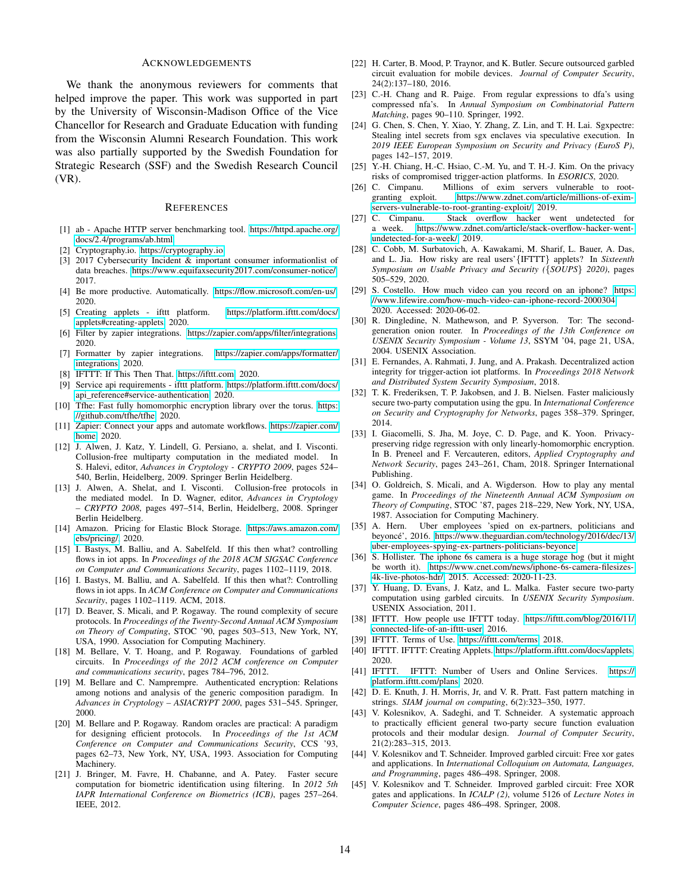#### ACKNOWLEDGEMENTS

We thank the anonymous reviewers for comments that helped improve the paper. This work was supported in part by the University of Wisconsin-Madison Office of the Vice Chancellor for Research and Graduate Education with funding from the Wisconsin Alumni Research Foundation. This work was also partially supported by the Swedish Foundation for Strategic Research (SSF) and the Swedish Research Council (VR).

#### **REFERENCES**

- <span id="page-13-30"></span>[1] ab - Apache HTTP server benchmarking tool. [https://httpd](https://httpd.apache.org/docs/2.4/programs/ab.html).apache.org/ docs/2.[4/programs/ab](https://httpd.apache.org/docs/2.4/programs/ab.html).html.
- <span id="page-13-29"></span>[2] Cryptography.io. [https://cryptography](https://cryptography.io).io.
- <span id="page-13-7"></span>[3] 2017 Cybersecurity Incident & important consumer informationlist of data breaches. https://www.equifaxsecurity2017.[com/consumer-notice/,](https://www.equifaxsecurity2017.com/consumer-notice/) 2017.
- <span id="page-13-2"></span>[4] Be more productive. Automatically. https://flow.microsoft.[com/en-us/,](https://flow.microsoft.com/en-us/) 2020.
- <span id="page-13-19"></span>[5] Creating applets - ifttt platform. [https://platform](https://platform.ifttt.com/docs/applets#creating-applets).ifttt.com/docs/ [applets#creating-applets,](https://platform.ifttt.com/docs/applets#creating-applets) 2020.
- <span id="page-13-11"></span>[6] Filter by zapier integrations. https://zapier.[com/apps/filter/integrations,](https://zapier.com/apps/filter/integrations) 2020.
- <span id="page-13-12"></span>[7] Formatter by zapier integrations. https://zapier.[com/apps/formatter/](https://zapier.com/apps/formatter/integrations) [integrations,](https://zapier.com/apps/formatter/integrations) 2020.
- <span id="page-13-0"></span>[8] IFTTT: If This Then That. [https://ifttt](https://ifttt.com).com, 2020.
- <span id="page-13-27"></span>[9] Service api requirements - ifttt platform. [https://platform](https://platform.ifttt.com/docs/api_reference#service-authentication).ifttt.com/docs/ [api\\_reference#service-authentication,](https://platform.ifttt.com/docs/api_reference#service-authentication) 2020.
- <span id="page-13-24"></span>[10] Tfhe: Fast fully homomorphic encryption library over the torus. [https:](https://github.com/tfhe/tfhe) //github.[com/tfhe/tfhe,](https://github.com/tfhe/tfhe) 2020.
- <span id="page-13-1"></span>[11] Zapier: Connect your apps and automate workflows. [https://zapier](https://zapier.com/home).com/ [home,](https://zapier.com/home) 2020.
- <span id="page-13-21"></span>[12] J. Alwen, J. Katz, Y. Lindell, G. Persiano, a. shelat, and I. Visconti. Collusion-free multiparty computation in the mediated model. In S. Halevi, editor, *Advances in Cryptology - CRYPTO 2009*, pages 524– 540, Berlin, Heidelberg, 2009. Springer Berlin Heidelberg.
- <span id="page-13-22"></span>[13] J. Alwen, A. Shelat, and I. Visconti. Collusion-free protocols in the mediated model. In D. Wagner, editor, *Advances in Cryptology – CRYPTO 2008*, pages 497–514, Berlin, Heidelberg, 2008. Springer Berlin Heidelberg.
- <span id="page-13-34"></span>[14] Amazon. Pricing for Elastic Block Storage. [https://aws](https://aws.amazon.com/ebs/pricing/).amazon.com/ [ebs/pricing/,](https://aws.amazon.com/ebs/pricing/) 2020.
- [15] I. Bastys, M. Balliu, and A. Sabelfeld. If this then what? controlling flows in iot apps. In *Proceedings of the 2018 ACM SIGSAC Conference on Computer and Communications Security*, pages 1102–1119, 2018.
- <span id="page-13-18"></span>[16] I. Bastys, M. Balliu, and A. Sabelfeld. If this then what?: Controlling flows in iot apps. In *ACM Conference on Computer and Communications Security*, pages 1102–1119. ACM, 2018.
- <span id="page-13-26"></span>[17] D. Beaver, S. Micali, and P. Rogaway. The round complexity of secure protocols. In *Proceedings of the Twenty-Second Annual ACM Symposium on Theory of Computing*, STOC '90, pages 503–513, New York, NY, USA, 1990. Association for Computing Machinery.
- <span id="page-13-16"></span>[18] M. Bellare, V. T. Hoang, and P. Rogaway. Foundations of garbled circuits. In *Proceedings of the 2012 ACM conference on Computer and communications security*, pages 784–796, 2012.
- <span id="page-13-15"></span>[19] M. Bellare and C. Namprempre. Authenticated encryption: Relations among notions and analysis of the generic composition paradigm. In *Advances in Cryptology – ASIACRYPT 2000*, pages 531–545. Springer, 2000.
- <span id="page-13-42"></span>[20] M. Bellare and P. Rogaway. Random oracles are practical: A paradigm for designing efficient protocols. In *Proceedings of the 1st ACM Conference on Computer and Communications Security*, CCS '93, pages 62–73, New York, NY, USA, 1993. Association for Computing Machinery.
- <span id="page-13-39"></span>[21] J. Bringer, M. Favre, H. Chabanne, and A. Patey. Faster secure computation for biometric identification using filtering. In *2012 5th IAPR International Conference on Biometrics (ICB)*, pages 257–264. IEEE, 2012.
- <span id="page-13-36"></span>[22] H. Carter, B. Mood, P. Traynor, and K. Butler. Secure outsourced garbled circuit evaluation for mobile devices. *Journal of Computer Security*, 24(2):137–180, 2016.
- <span id="page-13-28"></span>[23] C.-H. Chang and R. Paige. From regular expressions to dfa's using compressed nfa's. In *Annual Symposium on Combinatorial Pattern Matching*, pages 90–110. Springer, 1992.
- <span id="page-13-23"></span>[24] G. Chen, S. Chen, Y. Xiao, Y. Zhang, Z. Lin, and T. H. Lai. Sgxpectre: Stealing intel secrets from sgx enclaves via speculative execution. In *2019 IEEE European Symposium on Security and Privacy (EuroS P)*, pages 142–157, 2019.
- <span id="page-13-35"></span>[25] Y.-H. Chiang, H.-C. Hsiao, C.-M. Yu, and T. H.-J. Kim. On the privacy risks of compromised trigger-action platforms. In *ESORICS*, 2020.
- <span id="page-13-8"></span>[26] C. Cimpanu. Millions of exim servers vulnerable to rootgranting exploit. https://www.zdnet.[com/article/millions-of-exim](https://www.zdnet.com/article/millions-of-exim-servers-vulnerable-to-root-granting-exploit/)[servers-vulnerable-to-root-granting-exploit/,](https://www.zdnet.com/article/millions-of-exim-servers-vulnerable-to-root-granting-exploit/) 2019.
- <span id="page-13-9"></span>[27] C. Cimpanu. Stack overflow hacker went undetected for a week. https://www.zdnet.[com/article/stack-overflow-hacker-went](https://www.zdnet.com/article/stack-overflow-hacker-went-undetected-for-a-week/)[undetected-for-a-week/,](https://www.zdnet.com/article/stack-overflow-hacker-went-undetected-for-a-week/) 2019.
- <span id="page-13-31"></span>[28] C. Cobb, M. Surbatovich, A. Kawakami, M. Sharif, L. Bauer, A. Das, and L. Jia. How risky are real users'{IFTTT} applets? In *Sixteenth Symposium on Usable Privacy and Security (*{*SOUPS*} *2020)*, pages 505–529, 2020.
- <span id="page-13-32"></span>[29] S. Costello. How much video can you record on an iphone? [https:](https://www.lifewire.com/how-much-video-can-iphone-record-2000304) //www.lifewire.[com/how-much-video-can-iphone-record-2000304,](https://www.lifewire.com/how-much-video-can-iphone-record-2000304) 2020. Accessed: 2020-06-02.
- <span id="page-13-41"></span>[30] R. Dingledine, N. Mathewson, and P. Syverson. Tor: The secondgeneration onion router. In *Proceedings of the 13th Conference on USENIX Security Symposium - Volume 13*, SSYM '04, page 21, USA, 2004. USENIX Association.
- <span id="page-13-14"></span>[31] E. Fernandes, A. Rahmati, J. Jung, and A. Prakash. Decentralized action integrity for trigger-action iot platforms. In *Proceedings 2018 Network and Distributed System Security Symposium*, 2018.
- <span id="page-13-10"></span>[32] T. K. Frederiksen, T. P. Jakobsen, and J. B. Nielsen. Faster maliciously secure two-party computation using the gpu. In *International Conference on Security and Cryptography for Networks*, pages 358–379. Springer, 2014.
- <span id="page-13-20"></span>[33] I. Giacomelli, S. Jha, M. Joye, C. D. Page, and K. Yoon. Privacypreserving ridge regression with only linearly-homomorphic encryption. In B. Preneel and F. Vercauteren, editors, *Applied Cryptography and Network Security*, pages 243–261, Cham, 2018. Springer International Publishing.
- <span id="page-13-25"></span>[34] O. Goldreich, S. Micali, and A. Wigderson. How to play any mental game. In *Proceedings of the Nineteenth Annual ACM Symposium on Theory of Computing*, STOC '87, pages 218–229, New York, NY, USA, 1987. Association for Computing Machinery.
- <span id="page-13-3"></span>[35] A. Hern. Uber employees 'spied on ex-partners, politicians and beyoncé', 2016. https://www.theguardian.[com/technology/2016/dec/13/](https://www.theguardian.com/technology/2016/dec/13/uber-employees-spying-ex-partners-politicians-beyonce) [uber-employees-spying-ex-partners-politicians-beyonce.](https://www.theguardian.com/technology/2016/dec/13/uber-employees-spying-ex-partners-politicians-beyonce)
- <span id="page-13-33"></span>[36] S. Hollister. The iphone 6s camera is a huge storage hog (but it might be worth it). https://www.cnet.[com/news/iphone-6s-camera-filesizes-](https://www.cnet.com/news/iphone-6s-camera-filesizes-4k-live-photos-hdr/)[4k-live-photos-hdr/,](https://www.cnet.com/news/iphone-6s-camera-filesizes-4k-live-photos-hdr/) 2015. Accessed: 2020-11-23.
- <span id="page-13-37"></span>[37] Y. Huang, D. Evans, J. Katz, and L. Malka. Faster secure two-party computation using garbled circuits. In *USENIX Security Symposium*. USENIX Association, 2011.
- <span id="page-13-5"></span>[38] IFTTT. How people use IFTTT today. https://ifttt.[com/blog/2016/11/](https://ifttt.com/blog/2016/11/connected-life-of-an-ifttt-user) [connected-life-of-an-ifttt-user,](https://ifttt.com/blog/2016/11/connected-life-of-an-ifttt-user) 2016.
- <span id="page-13-4"></span>[39] IFTTT. Terms of Use. [https://ifttt](https://ifttt.com/terms).com/terms, 2018.
- <span id="page-13-13"></span>[40] IFTTT. IFTTT: Creating Applets. https://platform.ifttt.[com/docs/applets,](https://platform.ifttt.com/docs/applets) 2020.
- <span id="page-13-6"></span>[41] IFTTT. IFTTT: Number of Users and Online Services. [https://](https://platform.ifttt.com/plans) platform.ifttt.[com/plans,](https://platform.ifttt.com/plans) 2020.
- <span id="page-13-43"></span>[42] D. E. Knuth, J. H. Morris, Jr, and V. R. Pratt. Fast pattern matching in strings. *SIAM journal on computing*, 6(2):323–350, 1977.
- <span id="page-13-40"></span>[43] V. Kolesnikov, A. Sadeghi, and T. Schneider. A systematic approach to practically efficient general two-party secure function evaluation protocols and their modular design. *Journal of Computer Security*, 21(2):283–315, 2013.
- <span id="page-13-17"></span>[44] V. Kolesnikov and T. Schneider. Improved garbled circuit: Free xor gates and applications. In *International Colloquium on Automata, Languages, and Programming*, pages 486–498. Springer, 2008.
- <span id="page-13-38"></span>[45] V. Kolesnikov and T. Schneider. Improved garbled circuit: Free XOR gates and applications. In *ICALP (2)*, volume 5126 of *Lecture Notes in Computer Science*, pages 486–498. Springer, 2008.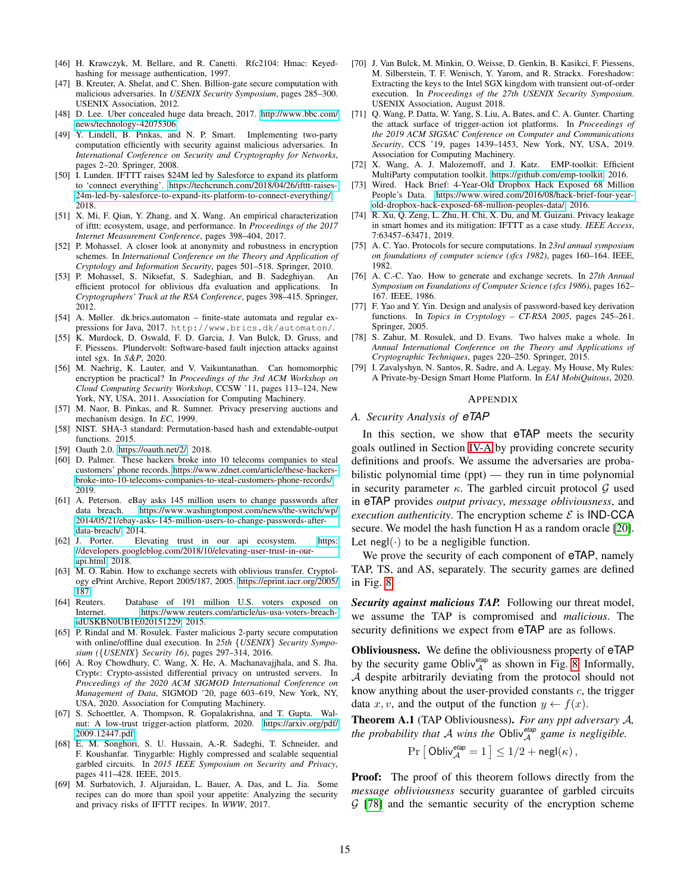- <span id="page-14-25"></span>[46] H. Krawczyk, M. Bellare, and R. Canetti. Rfc2104: Hmac: Keyedhashing for message authentication, 1997.
- <span id="page-14-34"></span>[47] B. Kreuter, A. Shelat, and C. Shen. Billion-gate secure computation with malicious adversaries. In *USENIX Security Symposium*, pages 285–300. USENIX Association, 2012.
- <span id="page-14-1"></span>[48] D. Lee. Uber concealed huge data breach, 2017. [http://www](http://www.bbc.com/news/technology-42075306).bbc.com/ [news/technology-42075306.](http://www.bbc.com/news/technology-42075306)
- <span id="page-14-9"></span>[49] Y. Lindell, B. Pinkas, and N. P. Smart. Implementing two-party computation efficiently with security against malicious adversaries. In *International Conference on Security and Cryptography for Networks*, pages 2–20. Springer, 2008.
- <span id="page-14-0"></span>[50] I. Lunden. IFTTT raises \$24M led by Salesforce to expand its platform to 'connect everything'. https://techcrunch.[com/2018/04/26/ifttt-raises-](https://techcrunch.com/2018/04/26/ifttt-raises-24m-led-by-salesforce-to-expand-its-platform-to-connect-everything/)[24m-led-by-salesforce-to-expand-its-platform-to-connect-everything/,](https://techcrunch.com/2018/04/26/ifttt-raises-24m-led-by-salesforce-to-expand-its-platform-to-connect-everything/) 2018.
- <span id="page-14-16"></span>[51] X. Mi, F. Qian, Y. Zhang, and X. Wang. An empirical characterization of ifttt: ecosystem, usage, and performance. In *Proceedings of the 2017 Internet Measurement Conference*, pages 398–404, 2017.
- <span id="page-14-11"></span>[52] P. Mohassel. A closer look at anonymity and robustness in encryption schemes. In *International Conference on the Theory and Application of Cryptology and Information Security*, pages 501–518. Springer, 2010.
- <span id="page-14-27"></span>[53] P. Mohassel, S. Niksefat, S. Sadeghian, and B. Sadeghiyan. An efficient protocol for oblivious dfa evaluation and applications. In *Cryptographers' Track at the RSA Conference*, pages 398–415. Springer, 2012.
- <span id="page-14-30"></span>[54] A. Møller. dk.brics.automaton – finite-state automata and regular expressions for Java, 2017. http://www.brics.dk/automaton/.
- <span id="page-14-20"></span>[55] K. Murdock, D. Oswald, F. D. Garcia, J. Van Bulck, D. Gruss, and F. Piessens. Plundervolt: Software-based fault injection attacks against intel sgx. In *S&P*, 2020.
- <span id="page-14-22"></span>[56] M. Naehrig, K. Lauter, and V. Vaikuntanathan. Can homomorphic encryption be practical? In *Proceedings of the 3rd ACM Workshop on Cloud Computing Security Workshop*, CCSW '11, pages 113–124, New York, NY, USA, 2011. Association for Computing Machinery.
- <span id="page-14-24"></span>[57] M. Naor, B. Pinkas, and R. Sumner. Privacy preserving auctions and mechanism design. In *EC*, 1999.
- <span id="page-14-29"></span>[58] NIST. SHA-3 standard: Permutation-based hash and extendable-output functions. 2015.
- <span id="page-14-13"></span>[59] Oauth 2.0. [https://oauth](https://oauth.net/2/).net/2/, 2018.
- <span id="page-14-5"></span>[60] D. Palmer. These hackers broke into 10 telecoms companies to steal customers' phone records. https://www.zdnet.[com/article/these-hackers](https://www.zdnet.com/article/these-hackers-broke-into-10-telecoms-companies-to-steal-customers-phone-records/)[broke-into-10-telecoms-companies-to-steal-customers-phone-records/,](https://www.zdnet.com/article/these-hackers-broke-into-10-telecoms-companies-to-steal-customers-phone-records/) 2019.
- <span id="page-14-2"></span>[61] A. Peterson. eBay asks 145 million users to change passwords after data breach. https://www.washingtonpost.[com/news/the-switch/wp/](https://www.washingtonpost.com/news/the-switch/wp/2014/05/21/ebay-asks-145-million-users-to-change-passwords-after-data-breach/) [2014/05/21/ebay-asks-145-million-users-to-change-passwords-after](https://www.washingtonpost.com/news/the-switch/wp/2014/05/21/ebay-asks-145-million-users-to-change-passwords-after-data-breach/)[data-breach/,](https://www.washingtonpost.com/news/the-switch/wp/2014/05/21/ebay-asks-145-million-users-to-change-passwords-after-data-breach/) 2014.
- <span id="page-14-6"></span>[62] J. Porter. Elevating trust in our api ecosystem. [https:](https://developers.googleblog.com/2018/10/elevating-user-trust-in-our-api.html) //developers.googleblog.[com/2018/10/elevating-user-trust-in-our](https://developers.googleblog.com/2018/10/elevating-user-trust-in-our-api.html)api.[html,](https://developers.googleblog.com/2018/10/elevating-user-trust-in-our-api.html) 2018.
- <span id="page-14-15"></span>[63] M. O. Rabin. How to exchange secrets with oblivious transfer. Cryptology ePrint Archive, Report 2005/187, 2005. [https://eprint](https://eprint.iacr.org/2005/187).iacr.org/2005/ [187.](https://eprint.iacr.org/2005/187)
- <span id="page-14-3"></span>[64] Reuters. Database of 191 million U.S. voters exposed on Internet. https://www.reuters.[com/article/us-usa-voters-breach](https://www.reuters.com/article/us-usa-voters-breach-idUSKBN0UB1E020151229)[idUSKBN0UB1E020151229,](https://www.reuters.com/article/us-usa-voters-breach-idUSKBN0UB1E020151229) 2015.
- <span id="page-14-10"></span>[65] P. Rindal and M. Rosulek. Faster malicious 2-party secure computation with online/offline dual execution. In *25th* {*USENIX*} *Security Symposium (*{*USENIX*} *Security 16)*, pages 297–314, 2016.
- <span id="page-14-17"></span>[66] A. Roy Chowdhury, C. Wang, X. He, A. Machanavajjhala, and S. Jha. Crypt: Crypto-assisted differential privacy on untrusted servers. In *Proceedings of the 2020 ACM SIGMOD International Conference on Management of Data*, SIGMOD '20, page 603–619, New York, NY, USA, 2020. Association for Computing Machinery.
- <span id="page-14-18"></span>[67] S. Schoettler, A. Thompson, R. Gopalakrishna, and T. Gupta. Walnut: A low-trust trigger-action platform, 2020. [https://arxiv](https://arxiv.org/pdf/2009.12447.pdf).org/pdf/ 2009.[12447](https://arxiv.org/pdf/2009.12447.pdf).pdf.
- <span id="page-14-35"></span>[68] E. M. Songhori, S. U. Hussain, A.-R. Sadeghi, T. Schneider, and F. Koushanfar. Tinygarble: Highly compressed and scalable sequential garbled circuits. In *2015 IEEE Symposium on Security and Privacy*, pages 411–428. IEEE, 2015.
- <span id="page-14-32"></span>[69] M. Surbatovich, J. Aljuraidan, L. Bauer, A. Das, and L. Jia. Some recipes can do more than spoil your appetite: Analyzing the security and privacy risks of IFTTT recipes. In *WWW*, 2017.
- <span id="page-14-21"></span>[70] J. Van Bulck, M. Minkin, O. Weisse, D. Genkin, B. Kasikci, F. Piessens, M. Silberstein, T. F. Wenisch, Y. Yarom, and R. Strackx. Foreshadow: Extracting the keys to the Intel SGX kingdom with transient out-of-order execution. In *Proceedings of the 27th USENIX Security Symposium*. USENIX Association, August 2018.
- <span id="page-14-33"></span>[71] O. Wang, P. Datta, W. Yang, S. Liu, A. Bates, and C. A. Gunter. Charting the attack surface of trigger-action iot platforms. In *Proceedings of the 2019 ACM SIGSAC Conference on Computer and Communications Security*, CCS '19, pages 1439–1453, New York, NY, USA, 2019. Association for Computing Machinery.
- <span id="page-14-28"></span>[72] X. Wang, A. J. Malozemoff, and J. Katz. EMP-toolkit: Efficient MultiParty computation toolkit. https://github.[com/emp-toolkit,](https://github.com/emp-toolkit) 2016.
- <span id="page-14-4"></span>[73] Wired. Hack Brief: 4-Year-Old Dropbox Hack Exposed 68 Million People's Data. https://www.wired.[com/2016/08/hack-brief-four-year](https://www.wired.com/2016/08/hack-brief-four-year-old-dropbox-hack-exposed-68-million-peoples-data/)[old-dropbox-hack-exposed-68-million-peoples-data/,](https://www.wired.com/2016/08/hack-brief-four-year-old-dropbox-hack-exposed-68-million-peoples-data/) 2016.
- <span id="page-14-31"></span>[74] R. Xu, Q. Zeng, L. Zhu, H. Chi, X. Du, and M. Guizani. Privacy leakage in smart homes and its mitigation: IFTTT as a case study. *IEEE Access*, 7:63457–63471, 2019.
- <span id="page-14-7"></span>[75] A. C. Yao. Protocols for secure computations. In *23rd annual symposium on foundations of computer science (sfcs 1982)*, pages 160–164. IEEE, 1982.
- <span id="page-14-8"></span>[76] A. C.-C. Yao. How to generate and exchange secrets. In *27th Annual Symposium on Foundations of Computer Science (sfcs 1986)*, pages 162– 167. IEEE, 1986.
- <span id="page-14-14"></span>[77] F. Yao and Y. Yin. Design and analysis of password-based key derivation functions. In *Topics in Cryptology – CT-RSA 2005*, pages 245–261. Springer, 2005.
- <span id="page-14-23"></span>[78] S. Zahur, M. Rosulek, and D. Evans. Two halves make a whole. In *Annual International Conference on the Theory and Applications of Cryptographic Techniques*, pages 220–250. Springer, 2015.
- <span id="page-14-19"></span>[79] I. Zavalyshyn, N. Santos, R. Sadre, and A. Legay. My House, My Rules: A Private-by-Design Smart Home Platform. In *EAI MobiQuitous*, 2020.

#### APPENDIX

#### <span id="page-14-12"></span>*A. Security Analysis of eTAP*

In this section, we show that eTAP meets the security goals outlined in Section [IV-A](#page-4-0) by providing concrete security definitions and proofs. We assume the adversaries are probabilistic polynomial time (ppt) — they run in time polynomial in security parameter  $\kappa$ . The garbled circuit protocol  $\mathcal G$  used in eTAP provides *output privacy*, *message obliviousness*, and *execution authenticity*. The encryption scheme  $\mathcal{E}$  is **IND-CCA** secure. We model the hash function H as a random oracle [\[20\]](#page-13-42). Let negl( $\cdot$ ) to be a negligible function.

We prove the security of each component of eTAP, namely TAP, TS, and AS, separately. The security games are defined in Fig. [8.](#page-15-1)

*Security against malicious TAP.* Following our threat model, we assume the TAP is compromised and *malicious*. The security definitions we expect from  $e<sup>TAP</sup>$  are as follows.

Obliviousness. We define the obliviousness property of eTAP by the security game Obliv<sup>etap</sup> as shown in Fig. [8.](#page-15-1) Informally, A despite arbitrarily deviating from the protocol should not know anything about the user-provided constants  $c$ , the trigger data x, v, and the output of the function  $y \leftarrow f(x)$ .

<span id="page-14-26"></span>Theorem A.1 (TAP Obliviousness). *For any ppt adversary* A*, the probability that* A *wins the* Obliv*etap* <sup>A</sup> *game is negligible.*

$$
\Pr\left[\text{ Obliv}_{\mathcal{A}}^{\text{etap}}=1\right]\leq 1/2+\text{negl}(\kappa),
$$

Proof: The proof of this theorem follows directly from the *message obliviousness* security guarantee of garbled circuits  $G$  [\[78\]](#page-14-23) and the semantic security of the encryption scheme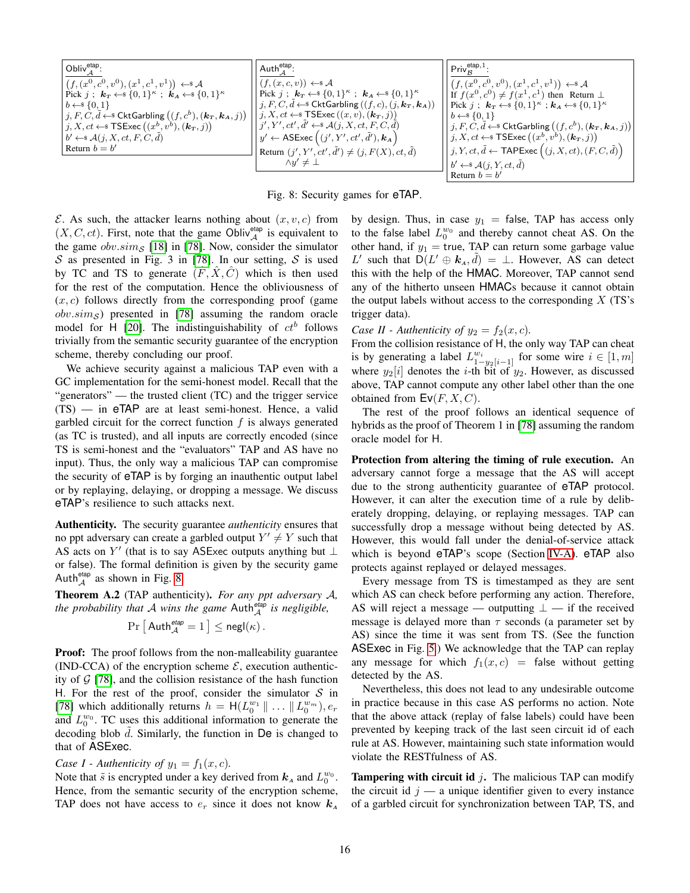<span id="page-15-1"></span>
$$
\begin{array}{|c|c|c|c|}\hline \text{Obliv}^{\text{etap}}_{\mathcal{A}}:\\ \hline \text{f},(x^0,c^0,v^0),(x^1,c^1,v^1)) &\leftrightarrow & \mathcal{A}\\ \text{Pick } j&: \textbf{\textit{k}}_T\leftarrow\$&\{0,1\}^{\kappa}: &\textbf{\textit{k}}_T\leftarrow\$&\{0,1\}^{\kappa}: &\textbf{\textit{k}}_T\leftarrow\$&\{0,1\}^{\kappa}: &\textbf{\textit{k}}_T\leftarrow\$&\{0,1\}^{\kappa}: &\textbf{\textit{k}}_T\leftarrow\$&\{0,1\}^{\kappa}: &\textbf{\textit{k}}_T\leftarrow\$&\{0,1\}^{\kappa}: &\textbf{\textit{k}}_T\leftarrow\$&\{0,1\}^{\kappa}: &\textbf{\textit{k}}_T\leftarrow\$&\{0,1\}^{\kappa}: &\textbf{\textit{k}}_T\leftarrow\$&\{0,1\}^{\kappa}: &\textbf{\textit{k}}_T\leftarrow\$&\{0,1\}^{\kappa}: &\textbf{\textit{k}}_T\leftarrow\$&\{0,1\}^{\kappa}: &\textbf{\textit{k}}_T\leftarrow\$&\{0,1\}^{\kappa}: &\textbf{\textit{k}}_T\leftarrow\$&\{0,1\}^{\kappa}: &\textbf{\textit{k}}_T\leftarrow\$&\{0,1\}^{\kappa}: &\textbf{\textit{k}}_T\leftarrow\$&\{0,1\}^{\kappa}: &\textbf{\textit{k}}_T\leftarrow\$&\{0,1\}^{\kappa}: &\textbf{\textit{k}}_T\leftarrow\$&\{0,1\}^{\kappa}: &\textbf{\textit{k}}_T\leftarrow\$&\{0,1\}^{\kappa}: &\textbf{\textit{k}}_T\leftarrow\$&\{0,1\}^{\kappa}: &\textbf{\textit{k}}_T\leftarrow\$&\{0,1\}^{\kappa}: &\textbf{\textit{k}}_T\leftarrow\$&\{0,1\}^{\kappa}: &\textbf{\textit{k}}_T\leftarrow\$&\{0,1\}^{\kappa}: &\textbf{\textit{k}}_T\leftarrow\$&\{0,1\}^{\kappa}: &\textbf{\textit{k}}
$$

Fig. 8: Security games for eTAP.

 $\mathcal E$ . As such, the attacker learns nothing about  $(x, v, c)$  from  $(X, C, ct)$ . First, note that the game Obliv $_{\mathcal{A}}^{\text{etap}}$  is equivalent to the game  $obv.\,sim_S$  [\[18\]](#page-13-16) in [\[78\]](#page-14-23). Now, consider the simulator  $S$  as presented in Fig. 3 in [\[78\]](#page-14-23). In our setting,  $S$  is used by TC and TS to generate  $(F, X, C)$  which is then used for the rest of the computation. Hence the obliviousness of  $(x, c)$  follows directly from the corresponding proof (game  $obv.sim<sub>S</sub>$ ) presented in [\[78\]](#page-14-23) assuming the random oracle model for H [\[20\]](#page-13-42). The indistinguishability of  $ct^b$  follows trivially from the semantic security guarantee of the encryption scheme, thereby concluding our proof.

We achieve security against a malicious TAP even with a GC implementation for the semi-honest model. Recall that the "generators" — the trusted client (TC) and the trigger service (TS) — in eTAP are at least semi-honest. Hence, a valid garbled circuit for the correct function  $f$  is always generated (as TC is trusted), and all inputs are correctly encoded (since TS is semi-honest and the "evaluators" TAP and AS have no input). Thus, the only way a malicious TAP can compromise the security of eTAP is by forging an inauthentic output label or by replaying, delaying, or dropping a message. We discuss eTAP's resilience to such attacks next.

Authenticity. The security guarantee *authenticity* ensures that no ppt adversary can create a garbled output  $Y' \neq Y$  such that AS acts on  $Y'$  (that is to say ASExec outputs anything but  $\perp$ or false). The formal definition is given by the security game Auth $_A^{\text{etap}}$  as shown in Fig. [8.](#page-15-1)

<span id="page-15-0"></span>Theorem A.2 (TAP authenticity). *For any ppt adversary* A*, the probability that* A *wins the game* Auth*etap* <sup>A</sup> *is negligible,*

$$
\Pr\left[\left.\mathsf{Auth}_{\mathcal{A}}^{\text{etap}}=1\right.\right] \leq \mathsf{negl}(\kappa)\,.
$$

Proof: The proof follows from the non-malleability guarantee (IND-CCA) of the encryption scheme  $\mathcal{E}$ , execution authenticity of  $G$  [\[78\]](#page-14-23), and the collision resistance of the hash function H. For the rest of the proof, consider the simulator  $S$  in [\[78\]](#page-14-23) which additionally returns  $h = H(L_0^{w_1} \| ... \| L_0^{w_m})$ ,  $e_r$ and  $L_0^{w_0}$ . TC uses this additional information to generate the decoding blob  $d$ . Similarly, the function in  $De$  is changed to that of ASExec.

#### *Case I - Authenticity of*  $y_1 = f_1(x, c)$ *.*

Note that  $\tilde{s}$  is encrypted under a key derived from  $k_A$  and  $L_0^{w_0}$ . Hence, from the semantic security of the encryption scheme, TAP does not have access to  $e_r$  since it does not know  $k_A$ 

by design. Thus, in case  $y_1$  = false, TAP has access only to the false label  $L_0^{w_0}$  and thereby cannot cheat AS. On the other hand, if  $y_1$  = true, TAP can return some garbage value L' such that  $D(L' \oplus k_A, \tilde{d}) = \perp$ . However, AS can detect this with the help of the HMAC. Moreover, TAP cannot send any of the hitherto unseen HMACs because it cannot obtain the output labels without access to the corresponding  $X$  (TS's trigger data).

# *Case II - Authenticity of*  $y_2 = f_2(x, c)$ *.*

From the collision resistance of H, the only way TAP can cheat is by generating a label  $L_{1-y_2[i-1]}^{w_i}$  for some wire  $i \in [1, m]$ where  $y_2[i]$  denotes the *i*-th bit of  $y_2$ . However, as discussed above, TAP cannot compute any other label other than the one obtained from  $EV(F, X, C)$ .

The rest of the proof follows an identical sequence of hybrids as the proof of Theorem 1 in [\[78\]](#page-14-23) assuming the random oracle model for H.

Protection from altering the timing of rule execution. An adversary cannot forge a message that the AS will accept due to the strong authenticity guarantee of eTAP protocol. However, it can alter the execution time of a rule by deliberately dropping, delaying, or replaying messages. TAP can successfully drop a message without being detected by AS. However, this would fall under the denial-of-service attack which is beyond eTAP's scope (Section [IV-A\)](#page-4-0). eTAP also protects against replayed or delayed messages.

Every message from TS is timestamped as they are sent which AS can check before performing any action. Therefore, AS will reject a message — outputting  $\bot$  — if the received message is delayed more than  $\tau$  seconds (a parameter set by AS) since the time it was sent from TS. (See the function ASExec in Fig. [5.](#page-6-1)) We acknowledge that the TAP can replay any message for which  $f_1(x, c) =$  false without getting detected by the AS.

Nevertheless, this does not lead to any undesirable outcome in practice because in this case AS performs no action. Note that the above attack (replay of false labels) could have been prevented by keeping track of the last seen circuit id of each rule at AS. However, maintaining such state information would violate the RESTfulness of AS.

**Tampering with circuit id j.** The malicious TAP can modify the circuit id  $j - a$  unique identifier given to every instance of a garbled circuit for synchronization between TAP, TS, and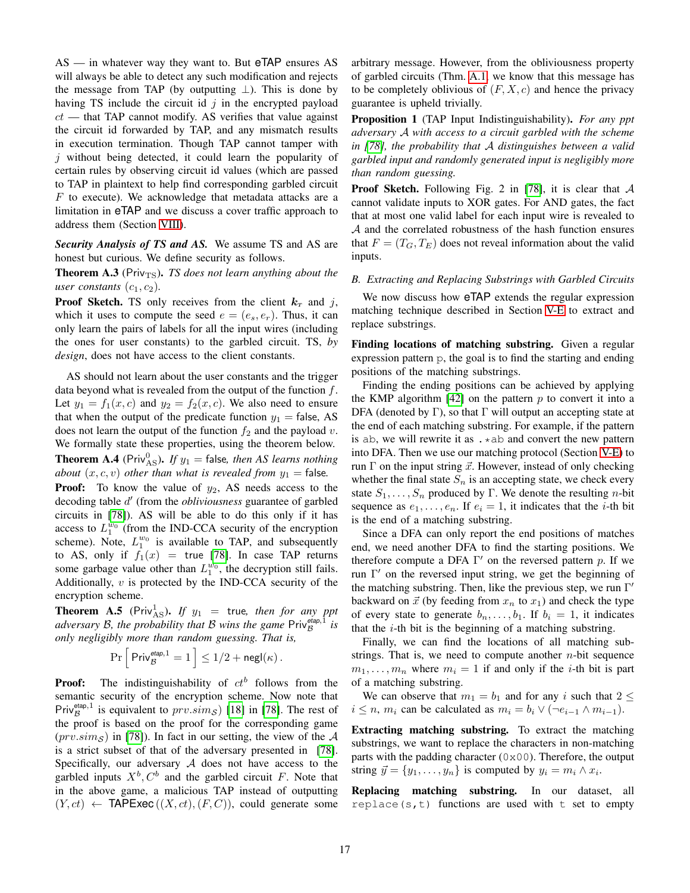$AS$  — in whatever way they want to. But eTAP ensures AS will always be able to detect any such modification and rejects the message from TAP (by outputting  $\perp$ ). This is done by having TS include the circuit id  $j$  in the encrypted payload  $ct$  — that TAP cannot modify. AS verifies that value against the circuit id forwarded by TAP, and any mismatch results in execution termination. Though TAP cannot tamper with  $i$  without being detected, it could learn the popularity of certain rules by observing circuit id values (which are passed to TAP in plaintext to help find corresponding garbled circuit  $F$  to execute). We acknowledge that metadata attacks are a limitation in eTAP and we discuss a cover traffic approach to address them (Section [VIII\)](#page-12-0).

*Security Analysis of TS and AS.* We assume TS and AS are honest but curious. We define security as follows.

<span id="page-16-0"></span>**Theorem A.3** (Priv<sub>TS</sub>). *TS does not learn anything about the user constants*  $(c_1, c_2)$ *.* 

**Proof Sketch.** TS only receives from the client  $k<sub>T</sub>$  and j, which it uses to compute the seed  $e = (e_s, e_r)$ . Thus, it can only learn the pairs of labels for all the input wires (including the ones for user constants) to the garbled circuit. TS, *by design*, does not have access to the client constants.

AS should not learn about the user constants and the trigger data beyond what is revealed from the output of the function  $f$ . Let  $y_1 = f_1(x, c)$  and  $y_2 = f_2(x, c)$ . We also need to ensure that when the output of the predicate function  $y_1$  = false, AS does not learn the output of the function  $f_2$  and the payload v. We formally state these properties, using the theorem below. **Theorem A.4** ( $\text{Priv}_{\text{AS}}^0$ ). If  $y_1$  = false, then AS learns nothing *about*  $(x, c, v)$  *other than what is revealed from*  $y_1$  = false.

<span id="page-16-1"></span>**Proof:** To know the value of  $y_2$ , AS needs access to the decoding table d 0 (from the *obliviousness* guarantee of garbled circuits in [\[78\]](#page-14-23)). AS will be able to do this only if it has access to  $L_1^{w_0}$  (from the IND-CCA security of the encryption scheme). Note,  $L_1^{w_0}$  is available to TAP, and subsequently to AS, only if  $f_1(x) =$  true [\[78\]](#page-14-23). In case TAP returns some garbage value other than  $L_1^{w_0}$ , the decryption still fails. Additionally,  $v$  is protected by the IND-CCA security of the encryption scheme.

<span id="page-16-2"></span>**Theorem A.5** (Priv<sup>1</sup><sub>AS</sub>). *If*  $y_1$  = true, then for any ppt *adversary* B*, the probability that* B *wins the game* Priv*etap*,<sup>1</sup> B *is only negligibly more than random guessing. That is,*

$$
\Pr\Big[\Pr{\mathsf{Priv}_{\mathcal{B}}^{\mathsf{etap},1}}=1\Big]\leq 1/2+\mathsf{negl}(\kappa)\,.
$$

**Proof:** The indistinguishability of  $ct^b$  follows from the semantic security of the encryption scheme. Now note that Priv<sup>etap, 1</sup> is equivalent to  $prv.\overline{sim}_{\mathcal{S}})$  [\[18\]](#page-13-16) in [\[78\]](#page-14-23). The rest of the proof is based on the proof for the corresponding game  $(prv,sim_{\mathcal{S}})$  in [\[78\]](#page-14-23)). In fact in our setting, the view of the A is a strict subset of that of the adversary presented in [\[78\]](#page-14-23). Specifically, our adversary  $A$  does not have access to the garbled inputs  $X^b$ ,  $C^b$  and the garbled circuit F. Note that in the above game, a malicious TAP instead of outputting  $(Y, ct) \leftarrow \text{TAPExec}(X, ct), (F, C)$ , could generate some arbitrary message. However, from the obliviousness property of garbled circuits (Thm. [A.1,](#page-14-26) we know that this message has to be completely oblivious of  $(F, X, c)$  and hence the privacy guarantee is upheld trivially.

<span id="page-16-4"></span>Proposition 1 (TAP Input Indistinguishability). *For any ppt adversary* A *with access to a circuit garbled with the scheme in [\[78\]](#page-14-23), the probability that* A *distinguishes between a valid garbled input and randomly generated input is negligibly more than random guessing.*

**Proof Sketch.** Following Fig. 2 in [\[78\]](#page-14-23), it is clear that  $\mathcal A$ cannot validate inputs to XOR gates. For AND gates, the fact that at most one valid label for each input wire is revealed to A and the correlated robustness of the hash function ensures that  $F = (T_G, T_E)$  does not reveal information about the valid inputs.

## <span id="page-16-3"></span>*B. Extracting and Replacing Substrings with Garbled Circuits*

We now discuss how eTAP extends the regular expression matching technique described in Section [V-E](#page-8-0) to extract and replace substrings.

Finding locations of matching substring. Given a regular expression pattern p, the goal is to find the starting and ending positions of the matching substrings.

Finding the ending positions can be achieved by applying the KMP algorithm  $[42]$  on the pattern p to convert it into a DFA (denoted by  $\Gamma$ ), so that  $\Gamma$  will output an accepting state at the end of each matching substring. For example, if the pattern is ab, we will rewrite it as  $\cdot *$ ab and convert the new pattern into DFA. Then we use our matching protocol (Section [V-E\)](#page-8-0) to run  $\Gamma$  on the input string  $\vec{x}$ . However, instead of only checking whether the final state  $S_n$  is an accepting state, we check every state  $S_1, \ldots, S_n$  produced by Γ. We denote the resulting *n*-bit sequence as  $e_1, \ldots, e_n$ . If  $e_i = 1$ , it indicates that the *i*-th bit is the end of a matching substring.

Since a DFA can only report the end positions of matches end, we need another DFA to find the starting positions. We therefore compute a DFA  $\Gamma'$  on the reversed pattern p. If we run  $\Gamma'$  on the reversed input string, we get the beginning of the matching substring. Then, like the previous step, we run  $\Gamma'$ backward on  $\vec{x}$  (by feeding from  $x_n$  to  $x_1$ ) and check the type of every state to generate  $b_n, \ldots, b_1$ . If  $b_i = 1$ , it indicates that the  $i$ -th bit is the beginning of a matching substring.

Finally, we can find the locations of all matching substrings. That is, we need to compute another  $n$ -bit sequence  $m_1, \ldots, m_n$  where  $m_i = 1$  if and only if the *i*-th bit is part of a matching substring.

We can observe that  $m_1 = b_1$  and for any i such that  $2 \leq$  $i \leq n$ ,  $m_i$  can be calculated as  $m_i = b_i \vee (\neg e_{i-1} \wedge m_{i-1}).$ 

Extracting matching substring. To extract the matching substrings, we want to replace the characters in non-matching parts with the padding character (0x00). Therefore, the output string  $\vec{y} = \{y_1, \dots, y_n\}$  is computed by  $y_i = m_i \wedge x_i$ .

Replacing matching substring. In our dataset, all replace(s, t) functions are used with t set to empty